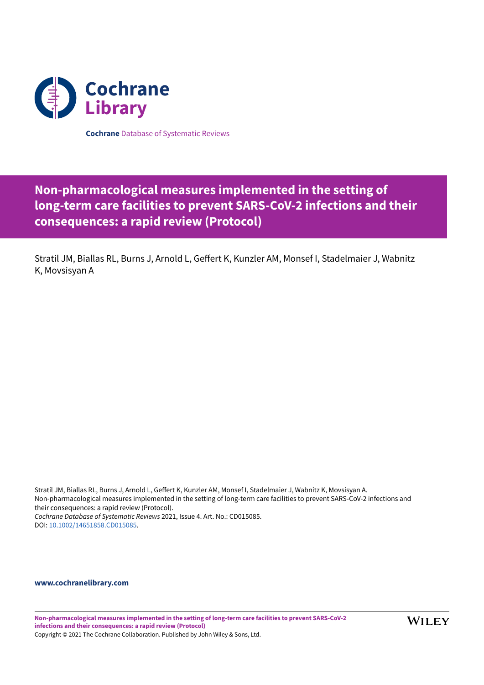

**Cochrane** Database of Systematic Reviews

# **Non-pharmacological measures implemented in the setting of long-term care facilities to prevent SARS-CoV-2 infections and their consequences: a rapid review (Protocol)**

Stratil JM, Biallas RL, Burns J, Arnold L, Geffert K, Kunzler AM, Monsef I, Stadelmaier J, Wabnitz K, Movsisyan A

Stratil JM, Biallas RL, Burns J, Arnold L, Geffert K, Kunzler AM, Monsef I, Stadelmaier J, Wabnitz K, Movsisyan A. Non-pharmacological measures implemented in the setting of long-term care facilities to prevent SARS-CoV-2 infections and their consequences: a rapid review (Protocol). *Cochrane Database of Systematic Reviews* 2021, Issue 4. Art. No.: CD015085. DOI: [10.1002/14651858.CD015085](https://doi.org/10.1002%2F14651858.CD015085).

## **[www.cochranelibrary.com](https://www.cochranelibrary.com)**

**Non-pharmacological measures implemented in the setting of long-term care facilities to prevent SARS-CoV-2 infections and their consequences: a rapid review (Protocol)** Copyright © 2021 The Cochrane Collaboration. Published by John Wiley & Sons, Ltd.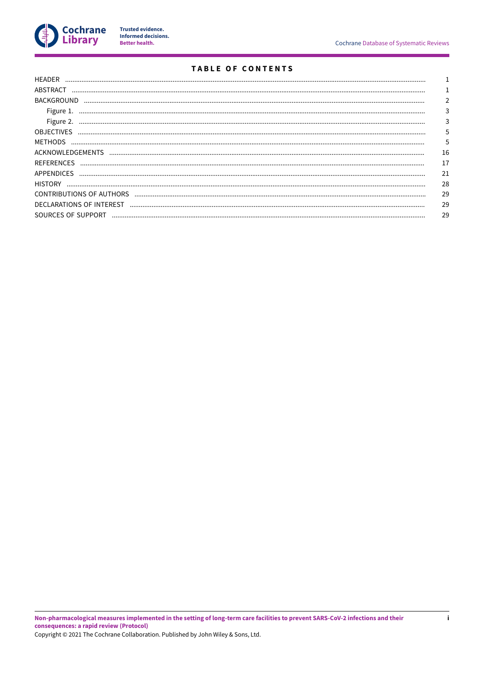

Trusted evidence.<br>Informed decisions.<br>Better health.

# **TABLE OF CONTENTS**

| <b>HFADFR</b>            |    |
|--------------------------|----|
| ABSTRACT                 |    |
| <b>BACKGROUND</b>        |    |
| Figure 1.                |    |
| Figure 2.                |    |
| <b>OBJECTIVES</b>        |    |
| METHODS                  |    |
| ACKNOWLEDGEMENTS         | 16 |
| <b>REFERENCES</b>        | 17 |
| APPENDICES               | 21 |
| <b>HISTORY</b>           | 28 |
| CONTRIBUTIONS OF AUTHORS | 29 |
|                          | 29 |
| SOURCES OF SUPPORT       | 29 |
|                          |    |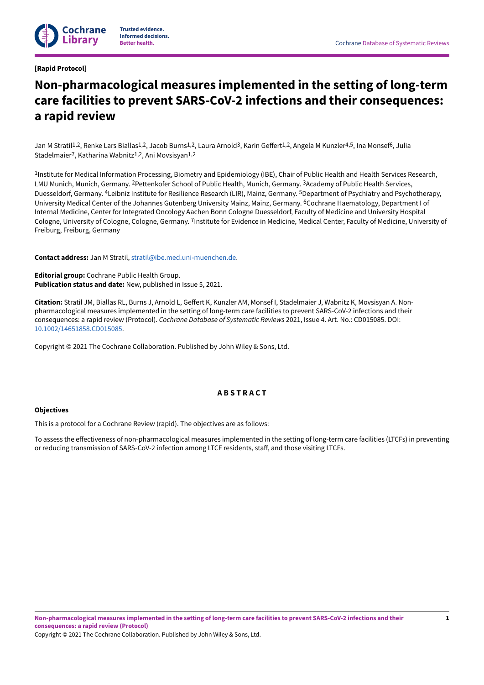## <span id="page-2-0"></span>**[Rapid Protocol]**

# **Non-pharmacological measures implemented in the setting of long-term care facilities to prevent SARS-CoV-2 infections and their consequences: a rapid review**

Jan M Stratil<sup>1,2</sup>, Renke Lars Biallas<sup>1,2</sup>, Jacob Burns<sup>1,2</sup>, Laura Arnold<sup>3</sup>, Karin Geffert<sup>1,2</sup>, Angela M Kunzler<sup>4,5</sup>, Ina Monsef<sup>6</sup>, Julia Stadelmaier 7, Katharina Wabnitz 1,2, Ani Movsisyan1,2

1Institute for Medical Information Processing, Biometry and Epidemiology (IBE), Chair of Public Health and Health Services Research, LMU Munich, Munich, Germany. <sup>2</sup>Pettenkofer School of Public Health, Munich, Germany. <sup>3</sup>Academy of Public Health Services, Duesseldorf, Germany. <sup>4</sup>Leibniz Institute for Resilience Research (LIR), Mainz, Germany. <sup>5</sup>Department of Psychiatry and Psychotherapy, University Medical Center of the Johannes Gutenberg University Mainz, Mainz, Germany. <sup>6</sup>Cochrane Haematology, Department I of Internal Medicine, Center for Integrated Oncology Aachen Bonn Cologne Duesseldorf, Faculty of Medicine and University Hospital Cologne, University of Cologne, Cologne, Germany. <sup>7</sup>Institute for Evidence in Medicine, Medical Center, Faculty of Medicine, University of Freiburg, Freiburg, Germany

**Contact address:** Jan M Stratil, [stratil@ibe.med.uni-muenchen.de](mailto:stratil@ibe.med.uni-muenchen.de).

**Editorial group:** Cochrane Public Health Group. **Publication status and date:** New, published in Issue 5, 2021.

Citation: Stratil JM, Biallas RL, Burns J, Arnold L, Geffert K, Kunzler AM, Monsef I, Stadelmaier J, Wabnitz K, Movsisyan A. Nonpharmacological measures implemented in the setting of long-term care facilities to prevent SARS-CoV-2 infections and their consequences: a rapid review (Protocol). *Cochrane Database of Systematic Reviews* 2021, Issue 4. Art. No.: CD015085. DOI: [10.1002/14651858.CD015085](https://doi.org/10.1002%2F14651858.CD015085).

Copyright © 2021 The Cochrane Collaboration. Published by John Wiley & Sons, Ltd.

## **A B S T R A C T**

## <span id="page-2-1"></span>**Objectives**

This is a protocol for a Cochrane Review (rapid). The objectives are as follows:

To assess the effectiveness of non-pharmacological measures implemented in the setting of long-term care facilities (LTCFs) in preventing or reducing transmission of SARS-CoV-2 infection among LTCF residents, staff, and those visiting LTCFs.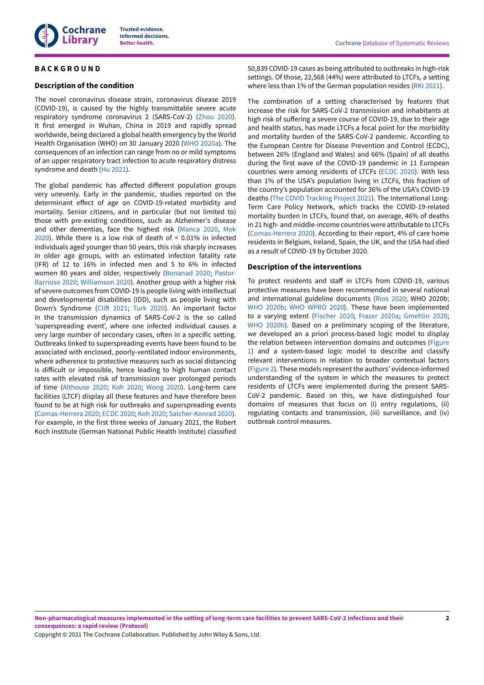

## <span id="page-3-0"></span>**B A C K G R O U N D**

#### **Description of the condition**

The novel coronavirus disease strain, coronavirus disease 2019 (COVID-19), is caused by the highly transmittable severe acute respiratory syndrome coronavirus 2 (SARS-CoV-2) ([Zhou 2020\)](#page-22-1). It first emerged in Wuhan, China in 2019 and rapidly spread worldwide, being declared a global health emergency by the World Health Organisation (WHO) on 30 January 2020 ([WHO 2020a](#page-22-2)). The consequences of an infection can range from no or mild symptoms of an upper respiratory tract infection to acute respiratory distress syndrome and death ([Hu 2021](#page-19-0)).

The global pandemic has affected different population groups very unevenly. Early in the pandemic, studies reported on the determinant effect of age on COVID-19-related morbidity and mortality. Senior citizens, and in particular (but not limited to) those with pre-existing conditions, such as Alzheimer's disease and other dementias, face the highest risk [\(Manca](#page-20-0) 2020, [Mok](#page-20-1) [2020](#page-20-1)). While there is a low risk of death of < 0.01% in infected individuals aged younger than 50 years, this risk sharply increases in older age groups, with an estimated infection fatality rate (IFR) of 12 to 16% in infected men and 5 to 6% in infected women 80 years and older, respectively [\(Bonanad 2020;](#page-18-1) [Pastor-](#page-20-2)[Barriuso 2020](#page-20-2); [Williamson 2020\)](#page-22-3). Another group with a higher risk of severe outcomes from COVID-19 is people living with intellectual and developmental disabilities (IDD), such as people living with Down's Syndrome (Clift 2021; Turk [2020\)](#page-22-4). An important factor in the transmission dynamics of SARS-CoV-2 is the so called 'superspreading event', where one infected individual causes a very large number of secondary cases, often in a specific setting. Outbreaks linked to superspreading events have been found to be associated with enclosed, poorly-ventilated indoor environments, where adherence to protective measures such as social distancing is difficult or impossible, hence leading to high human contact rates with elevated risk of transmission over prolonged periods of time [\(Althouse 2020;](#page-18-3) Koh [2020](#page-20-3); [Wong 2020\)](#page-22-5). Long-term care facilities (LTCF) display all these features and have therefore been found to be at high risk for outbreaks and superspreading events [\(Comas-Herrera](#page-18-4) 2020; [ECDC 2020;](#page-19-1) Koh [2020](#page-20-3); [Salcher-Konrad](#page-21-0) 2020). For example, in the first three weeks of January 2021, the Robert Koch Institute (German National Public Health Institute) classified

50,839 COVID-19 cases as being attributed to outbreaks in high-risk settings. Of those, 22,568 (44%) were attributed to LTCFs, a setting where less than 1% of the German population resides ([RKI 2021](#page-21-1)).

The combination of a setting characterised by features that increase the risk for SARS-CoV-2 transmission and inhabitants at high risk of suffering a severe course of COVID-19, due to their age and health status, has made LTCFs a focal point for the morbidity and mortality burden of the SARS-CoV-2 pandemic. According to the European Centre for Disease Prevention and Control (ECDC), between 26% (England and Wales) and 66% (Spain) of all deaths during the first wave of the COVID-19 pandemic in 11 European countries were among residents of LTCFs ([ECDC 2020](#page-19-1)). With less than 1% of the USA's population living in LTCFs, this fraction of the country's population accounted for 36% of the USA's COVID-19 deaths (The COVID [Tracking](#page-22-6) Project 2021). The International Long-Term Care Policy Network, which tracks the COVID-19-related mortality burden in LTCFs, found that, on average, 46% of deaths in 21 high- and middle-income countries were attributable to LTCFs [\(Comas-Herrera](#page-18-4) 2020). According to their report, 4% of care home residents in Belgium, Ireland, Spain, the UK, and the USA had died as a result of COVID-19 by October 2020.

#### **Description of the interventions**

To protect residents and staff in LTCFs from COVID-19, various protective measures have been recommended in several national and international guideline documents [\(Rios 2020;](#page-21-2) WHO 2020b; [WHO 2020b](#page-22-7); [WHO WPRO 2020](#page-22-8)). These have been implemented to a varying extent ([Fischer 2020](#page-19-2); [Frazer](#page-19-3) 2020a; [Gmehlin 2020;](#page-19-4) [WHO 2020b](#page-22-7)). Based on a preliminary scoping of the literature, we developed an a priori process-based logic model to display the relation between intervention domains and outcomes [\(Figure](#page-4-0) [1](#page-4-0)) and a system-based logic model to describe and classify relevant interventions in relation to broader contextual factors [\(Figure](#page-4-1) 2). These models represent the authors' evidence-informed understanding of the system in which the measures to protect residents of LTCFs were implemented during the present SARS-CoV-2 pandemic. Based on this, we have distinguished four domains of measures that focus on (i) entry regulations, (ii) regulating contacts and transmission, (iii) surveillance, and (iv) outbreak control measures.

Non-pharmacological measures implemented in the setting of long-term care facilities to prevent SARS-CoV-2 infections and their **consequences: a rapid review (Protocol)**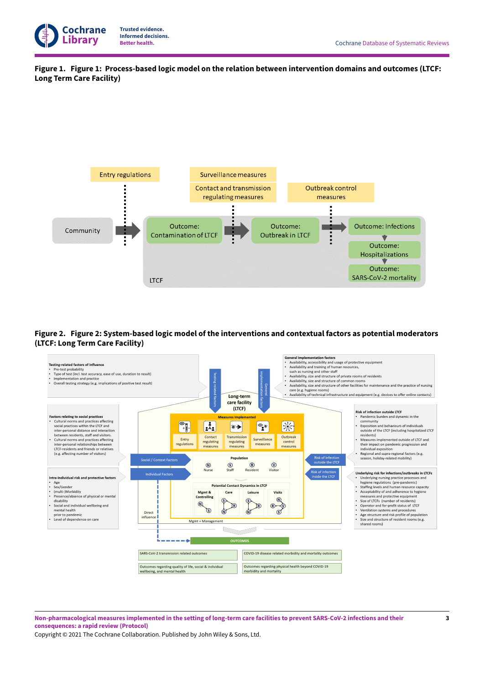

<span id="page-4-0"></span>**Figure 1. Figure 1: Process-based logic model on the relation between intervention domains and outcomes (LTCF: LongTerm Care Facility)**



<span id="page-4-1"></span>**Figure 2. Figure 2:System-based logic model of the interventions and contextual factors as potential moderators (LTCF: LongTerm Care Facility)**



Non-pharmacological measures implemented in the setting of long-term care facilities to prevent SARS-CoV-2 infections and their **consequences: a rapid review (Protocol)**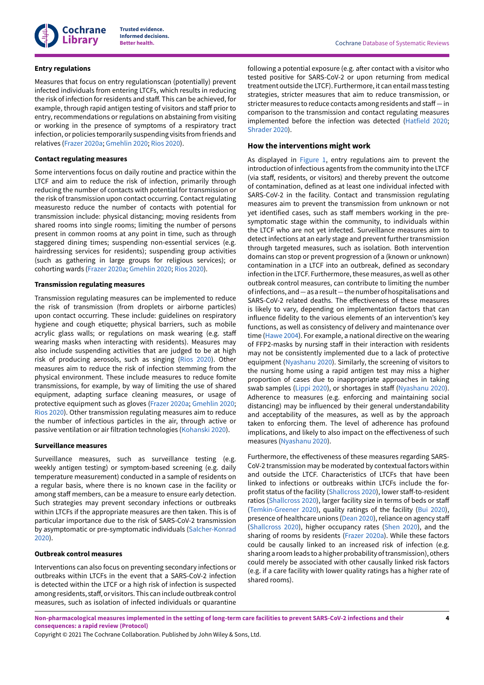

## **Entry regulations**

Measures that focus on entry regulationscan (potentially) prevent infected individuals from entering LTCFs, which results in reducing the risk of infection for residents and staff. This can be achieved, for example, through rapid antigen testing of visitors and staff prior to entry, recommendations or regulations on abstaining from visiting or working in the presence of symptoms of a respiratory tract infection, or policies temporarily suspending visits from friends and relatives [\(Frazer](#page-19-3) 2020a; [Gmehlin 2020;](#page-19-4) [Rios 2020\)](#page-21-2).

## **Contact regulating measures**

Some interventions focus on daily routine and practice within the LTCF and aim to reduce the risk of infection, primarily through reducing the number of contacts with potential for transmission or the risk of transmission upon contact occurring. Contact regulating measuresto reduce the number of contacts with potential for transmission include: physical distancing; moving residents from shared rooms into single rooms; limiting the number of persons present in common rooms at any point in time, such as through staggered dining times; suspending non-essential services (e.g. hairdressing services for residents); suspending group activities (such as gathering in large groups for religious services); or cohorting wards ([Frazer](#page-19-3) 2020a; [Gmehlin 2020;](#page-19-4) [Rios 2020](#page-21-2)).

## **Transmission regulating measures**

Transmission regulating measures can be implemented to reduce the risk of transmission (from droplets or airborne particles) upon contact occurring. These include: guidelines on respiratory hygiene and cough etiquette; physical barriers, such as mobile acrylic glass walls; or regulations on mask wearing (e.g. staff wearing masks when interacting with residents). Measures may also include suspending activities that are judged to be at high risk of producing aerosols, such as singing ([Rios 2020\)](#page-21-2). Other measures aim to reduce the risk of infection stemming from the physical environment. These include measures to reduce fomite transmissions, for example, by way of limiting the use of shared equipment, adapting surface cleaning measures, or usage of protective equipment such as gloves ([Frazer](#page-19-3) 2020a; [Gmehlin 2020](#page-19-4); [Rios 2020\)](#page-21-2). Other transmission regulating measures aim to reduce the number of infectious particles in the air, through active or passive ventilation or air filtration technologies [\(Kohanski](#page-20-4) 2020).

#### **Surveillance measures**

Surveillance measures, such as surveillance testing (e.g. weekly antigen testing) or symptom-based screening (e.g. daily temperature measurement) conducted in a sample of residents on a regular basis, where there is no known case in the facility or among staff members, can be a measure to ensure early detection. Such strategies may prevent secondary infections or outbreaks within LTCFs if the appropriate measures are then taken. This is of particular importance due to the risk of SARS-CoV-2 transmission by asymptomatic or pre-symptomatic individuals [\(Salcher-Konrad](#page-21-0) [2020](#page-21-0)).

## **Outbreak control measures**

Interventions can also focus on preventing secondary infections or outbreaks within LTCFs in the event that a SARS-CoV-2 infection is detected within the LTCF or a high risk of infection is suspected among residents, staff, or visitors. This can include outbreak control measures, such as isolation of infected individuals or quarantine

following a potential exposure (e.g. after contact with a visitor who tested positive for SARS-CoV-2 or upon returning from medical treatment outside the LTCF). Furthermore, it can entail mass testing strategies, stricter measures that aim to reduce transmission, or stricter measures to reduce contacts among residents and staff - in comparison to the transmission and contact regulating measures implemented before the infection was detected ([Hatfield 2020;](#page-19-5) [Shrader](#page-21-3) 2020).

## **How the interventions might work**

As displayed in [Figure](#page-4-0) 1, entry regulations aim to prevent the introduction of infectious agents from the community into the LTCF (via staff, residents, or visitors) and thereby prevent the outcome of contamination, defined as at least one individual infected with SARS-CoV-2 in the facility. Contact and transmission regulating measures aim to prevent the transmission from unknown or not yet identified cases, such as staff members working in the presymptomatic stage within the community, to individuals within the LTCF who are not yet infected. Surveillance measures aim to detect infections at an early stage and prevent further transmission through targeted measures, such as isolation. Both intervention domains can stop or prevent progression of a (known or unknown) contamination in a LTCF into an outbreak, defined as secondary infection in the LTCF. Furthermore, these measures, as well as other outbreak control measures, can contribute to limiting the number ofinfections, and*—*as a result*—*thenumber ofhospitalisations and SARS-CoV-2 related deaths. The effectiveness of these measures is likely to vary, depending on implementation factors that can influence fidelity to the various elements of an intervention's key functions, as well as consistency of delivery and maintenance over time [\(Hawe](#page-19-6) 2004). For example, a national directive on the wearing of FFP2-masks by nursing staff in their interaction with residents may not be consistently implemented due to a lack of protective equipment [\(Nyashanu](#page-20-5) 2020). Similarly, the screening of visitors to the nursing home using a rapid antigen test may miss a higher proportion of cases due to inappropriate approaches in taking swab samples [\(Lippi 2020](#page-20-6)), or shortages in staff [\(Nyashanu](#page-20-5) 2020). Adherence to measures (e.g. enforcing and maintaining social distancing) may be influenced by their general understandability and acceptability of the measures, as well as by the approach taken to enforcing them. The level of adherence has profound implications, and likely to also impact on the effectiveness of such measures ([Nyashanu](#page-20-5) 2020).

Furthermore, the effectiveness of these measures regarding SARS-CoV-2 transmission may be moderated by contextual factors within and outside the LTCF. Characteristics of LTCFs that have been linked to infections or outbreaks within LTCFs include the for-profit status of the facility ([Shallcross](#page-21-4) 2020), lower staff-to-resident ratios ([Shallcross](#page-21-4) 2020), larger facility size in terms of beds or staff [\(Temkin-Greener](#page-22-9) 2020), quality ratings of the facility [\(Bui 2020\)](#page-18-5), presence of healthcare unions ([Dean](#page-18-6) 2020), reliance on agency staff [\(Shallcross](#page-21-4) 2020), higher occupancy rates ([Shen 2020\)](#page-21-5), and the sharing of rooms by residents [\(Frazer](#page-19-3) 2020a). While these factors could be causally linked to an increased risk of infection (e.g. sharing a room leads to a higher probability of transmission), others could merely be associated with other causally linked risk factors (e.g. if a care facility with lower quality ratings has a higher rate of shared rooms).

Non-pharmacological measures implemented in the setting of long-term care facilities to prevent SARS-CoV-2 infections and their **consequences: a rapid review (Protocol)**

Copyright © 2021 The Cochrane Collaboration. Published by John Wiley & Sons, Ltd.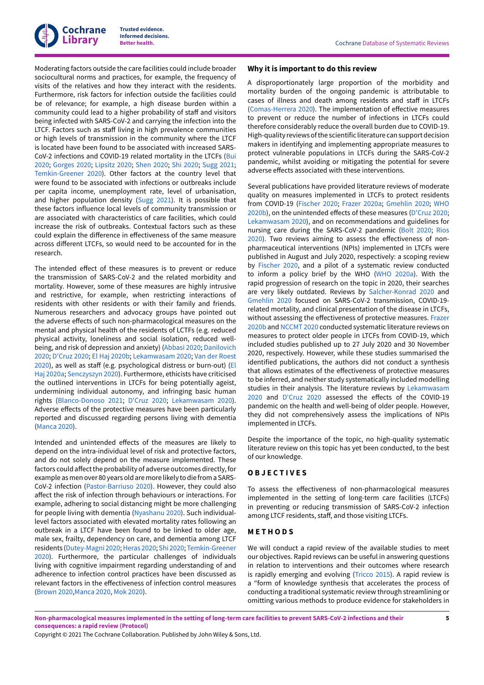

Moderating factors outside the care facilities could include broader sociocultural norms and practices, for example, the frequency of visits of the relatives and how they interact with the residents. Furthermore, risk factors for infection outside the facilities could be of relevance; for example, a high disease burden within a community could lead to a higher probability of staff and visitors being infected with SARS-CoV-2 and carrying the infection into the LTCF. Factors such as staff living in high prevalence communities or high levels of transmission in the community where the LTCF is located have been found to be associated with increased SARS-CoV-2 infections and COVID-19 related mortality in the LTCFs [\(Bui](#page-18-5) [2020](#page-18-5); [Gorges](#page-19-7) 2020; [Lipsitz 2020;](#page-20-7) [Shen 2020;](#page-21-5) [Shi 2020](#page-21-6); [Sugg 2021](#page-22-10); [Temkin-Greener](#page-22-9) 2020). Other factors at the country level that were found to be associated with infections or outbreaks include per capita income, unemployment rate, level of urbanisation, and higher population density ([Sugg 2021\)](#page-22-10). It is possible that these factors influence local levels of community transmission or are associated with characteristics of care facilities, which could increase the risk of outbreaks. Contextual factors such as these could explain the difference in effectiveness of the same measure across different LTCFs, so would need to be accounted for in the research.

The intended effect of these measures is to prevent or reduce the transmission of SARS-CoV-2 and the related morbidity and mortality. However, some of these measures are highly intrusive and restrictive, for example, when restricting interactions of residents with other residents or with their family and friends. Numerous researchers and advocacy groups have pointed out the adverse effects of such non-pharmacological measures on the mental and physical health of the residents of LCTFs (e.g. reduced physical activity, loneliness and social isolation, reduced wellbeing, and risk of depression and anxiety) [\(Abbasi](#page-18-7) 2020; [Danilovich](#page-18-8) [2020](#page-18-8); [D'Cruz 2020](#page-18-9); [El Haj 2020b](#page-19-8); [Lekamwasam](#page-20-8) 2020; Van der [Roest](#page-22-11)  $2020$ ), as well as staff (e.g. psychological distress or burn-out) ([El](#page-19-9) [Haj 2020a](#page-19-9); [Senczyszyn](#page-21-7) 2020). Furthermore, ethicists have criticised the outlined interventions in LTCFs for being potentially ageist, undermining individual autonomy, and infringing basic human rights [\(Blanco-Donoso](#page-18-10) 2021; [D'Cruz 2020;](#page-18-9) [Lekamwasam](#page-20-8) 2020). Adverse effects of the protective measures have been particularly reported and discussed regarding persons living with dementia [\(Manca](#page-20-0) 2020).

Intended and unintended effects of the measures are likely to depend on the intra-individual level of risk and protective factors, and do not solely depend on the measure implemented. These factors could affect the probability of adverse outcomes directly, for example as men over 80 years old are more likely to die from a SARS-CoV-2 infection [\(Pastor-Barriuso](#page-20-2) 2020). However, they could also affect the risk of infection through behaviours or interactions. For example, adhering to social distancing might be more challenging for people living with dementia [\(Nyashanu](#page-20-5) 2020). Such individuallevel factors associated with elevated mortality rates following an outbreak in a LTCF have been found to be linked to older age, male sex, frailty, dependency on care, and dementia among LTCF residents [\(Dutey-Magni](#page-18-11) 2020; [Heras](#page-19-10) 2020; [Shi 2020;](#page-21-6) [Temkin-Greener](#page-22-9) [2020](#page-22-9)). Furthermore, the particular challenges of individuals living with cognitive impairment regarding understanding of and adherence to infection control practices have been discussed as relevant factors in the effectiveness of infection control measures [\(Brown](#page-18-12) 2020,[Manca](#page-20-0) 2020, [Mok 2020\)](#page-20-1).

#### **Why it is important to do this review**

A disproportionately large proportion of the morbidity and mortality burden of the ongoing pandemic is attributable to cases of illness and death among residents and staff in LTCFs [\(Comas-Herrera](#page-18-4) 2020). The implementation of effective measures to prevent or reduce the number of infections in LTCFs could therefore considerably reduce the overall burden due to COVID-19. High-quality reviewsofthe scientific literature cansupportdecision makers in identifying and implementing appropriate measures to protect vulnerable populations in LTCFs during the SARS-CoV-2 pandemic, whilst avoiding or mitigating the potential for severe adverse effects associated with these interventions.

Several publications have provided literature reviews of moderate quality on measures implemented in LTCFs to protect residents from COVID-19 [\(Fischer 2020](#page-19-2); [Frazer](#page-19-3) 2020a; [Gmehlin 2020](#page-19-4); [WHO](#page-22-7) [2020b\)](#page-22-7), on the unintended effects of these measures ([D'Cruz 2020;](#page-18-9) [Lekamwasam](#page-20-8) 2020), and on recommendations and guidelines for nursing care during the SARS-CoV-2 pandemic [\(Bolt 2020;](#page-18-13) [Rios](#page-21-2)  $2020$ ). Two reviews aiming to assess the effectiveness of nonpharmaceutical interventions (NPIs) implemented in LTCFs were published in August and July 2020, respectively: a scoping review by [Fischer 2020](#page-19-2), and a pilot of a systematic review conducted to inform a policy brief by the WHO ([WHO 2020a\)](#page-22-2). With the rapid progression of research on the topic in 2020, their searches are very likely outdated. Reviews by [Salcher-Konrad](#page-21-0) 2020 and [Gmehlin 2020](#page-19-4) focused on SARS-CoV-2 transmission, COVID-19 related mortality, and clinical presentation of the disease in LTCFs, without assessing the effectiveness of protective measures. [Frazer](#page-19-11) [2020b](#page-19-11) and [NCCMT](#page-20-9) 2020 conducted systematic literature reviews on measures to protect older people in LTCFs from COVID-19, which included studies published up to 27 July 2020 and 30 November 2020, respectively. However, while these studies summarised the identified publications, the authors did not conduct a synthesis that allows estimates of the effectiveness of protective measures to be inferred, and neither study systematically included modelling studies in their analysis. The literature reviews by [Lekamwasam](#page-20-8) [2020](#page-20-8) and [D'Cruz 2020](#page-18-9) assessed the effects of the COVID-19 pandemic on the health and well-being of older people. However, they did not comprehensively assess the implications of NPIs implemented in LTCFs.

Despite the importance of the topic, no high-quality systematic literature review on this topic has yet been conducted, to the best of our knowledge.

#### <span id="page-6-0"></span>**O B J E C T I V E S**

To assess the effectiveness of non-pharmacological measures implemented in the setting of long-term care facilities (LTCFs) in preventing or reducing transmission of SARS-CoV-2 infection among LTCF residents, staff, and those visiting LTCFs.

#### <span id="page-6-1"></span>**M E T H O D S**

We will conduct a rapid review of the available studies to meet our objectives. Rapid reviews can be useful in answering questions in relation to interventions and their outcomes where research is rapidly emerging and evolving ([Tricco](#page-22-12) 2015). A rapid review is a "form of knowledge synthesis that accelerates the process of conducting a traditional systematic review through streamlining or omitting various methods to produce evidence for stakeholders in

Non-pharmacological measures implemented in the setting of long-term care facilities to prevent SARS-CoV-2 infections and their **consequences: a rapid review (Protocol)**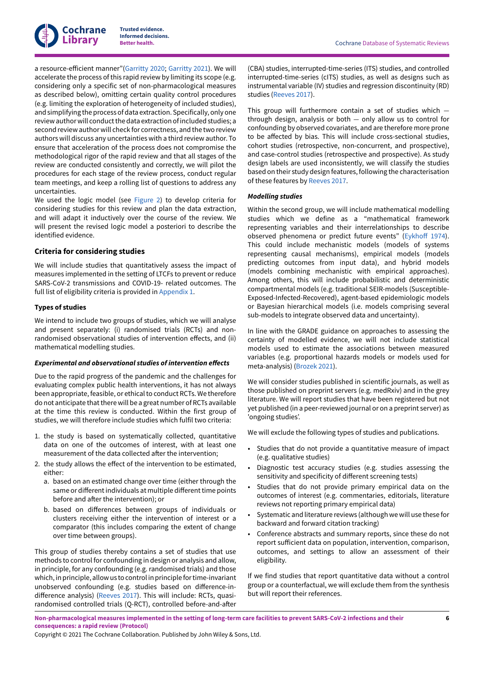

a resource-efficient manner"([Garritty](#page-19-13) 2020; Garritty 2021). We will accelerate the process of this rapid review by limiting its scope (e.g. considering only a specific set of non-pharmacological measures as described below), omitting certain quality control procedures (e.g. limiting the exploration of heterogeneity of included studies), and simplifying the process of data extraction. Specifically, only one reviewauthorwill conductthe data extraction ofincluded studies; a second review author will check for correctness, and the two review authors will discuss any uncertainties with a third review author. To ensure that acceleration of the process does not compromise the methodological rigor of the rapid review and that all stages of the review are conducted consistently and correctly, we will pilot the procedures for each stage of the review process, conduct regular team meetings, and keep a rolling list of questions to address any uncertainties.

We used the logic model (see [Figure](#page-4-1) 2) to develop criteria for considering studies for this review and plan the data extraction, and will adapt it inductively over the course of the review. We will present the revised logic model a posteriori to describe the identified evidence.

#### **Criteria for considering studies**

We will include studies that quantitatively assess the impact of measures implemented in the setting of LTCFs to prevent or reduce SARS-CoV-2 transmissions and COVID-19- related outcomes. The full list of eligibility criteria is provided in [Appendix 1.](#page-22-13)

#### **Types of studies**

We intend to include two groups of studies, which we will analyse and present separately: (i) randomised trials (RCTs) and nonrandomised observational studies of intervention effects, and (ii) mathematical modelling studies.

#### *Experimental and observational studies of intervention effects*

Due to the rapid progress of the pandemic and the challenges for evaluating complex public health interventions, it has not always been appropriate, feasible, or ethical to conduct RCTs. We therefore do not anticipate that there will be a great number of RCTs available at the time this review is conducted. Within the first group of studies, we will therefore include studies which fulfil two criteria:

- 1. the study is based on systematically collected, quantitative data on one of the outcomes of interest, with at least one measurement of the data collected after the intervention;
- 2. the study allows the effect of the intervention to be estimated, either:
	- a. based on an estimated change over time (either through the same or different individuals at multiple different time points before and after the intervention); or
	- b. based on differences between groups of individuals or clusters receiving either the intervention of interest or a comparator (this includes comparing the extent of change over time between groups).

This group of studies thereby contains a set of studies that use methods to control for confounding in design or analysis and allow, in principle, for any confounding (e.g. randomised trials) and those which, in principle, allow us to control in principle for time-invariant unobserved confounding (e.g. studies based on difference-in-difference analysis) [\(Reeves](#page-21-8) 2017). This will include: RCTs, quasirandomised controlled trials (Q-RCT), controlled before-and-after

(CBA) studies, interrupted-time-series (ITS) studies, and controlled interrupted-time-series (cITS) studies, as well as designs such as instrumental variable (IV) studies and regression discontinuity (RD) studies [\(Reeves](#page-21-8) 2017).

This group will furthermore contain a set of studies which  through design, analysis or both *—* only allow us to control for confounding by observed covariates, and are therefore more prone to be affected by bias. This will include cross-sectional studies, cohort studies (retrospective, non-concurrent, and prospective), and case-control studies (retrospective and prospective). As study design labels are used inconsistently, we will classify the studies based on their study design features, following the characterisation of these features by [Reeves](#page-21-8) 2017.

#### *Modelling studies*

Within the second group, we will include mathematical modelling studies which we define as a "mathematical framework representing variables and their interrelationships to describe observed phenomena or predict future events" (Eykhoff 1974). This could include mechanistic models (models of systems representing causal mechanisms), empirical models (models predicting outcomes from input data), and hybrid models (models combining mechanistic with empirical approaches). Among others, this will include probabilistic and deterministic compartmental models (e.g. traditional SEIR-models (Susceptible-Exposed-Infected-Recovered), agent-based epidemiologic models or Bayesian hierarchical models (i.e. models comprising several sub-models to integrate observed data and uncertainty).

In line with the GRADE guidance on approaches to assessing the certainty of modelled evidence, we will not include statistical models used to estimate the associations between measured variables (e.g. proportional hazards models or models used for meta-analysis) [\(Brozek](#page-18-14) 2021).

We will consider studies published in scientific journals, as well as those published on preprint servers (e.g. medRxiv) and in the grey literature. We will report studies that have been registered but not yet published (in a peer-reviewed journal or on a preprint server) as 'ongoing studies'.

We will exclude the following types of studies and publications.

- Studies that do not provide a quantitative measure of impact (e.g. qualitative studies)
- Diagnostic test accuracy studies (e.g. studies assessing the sensitivity and specificity of different screening tests)
- Studies that do not provide primary empirical data on the outcomes of interest (e.g. commentaries, editorials, literature reviews not reporting primary empirical data)
- Systematic and literature reviews (although we will use these for backward and forward citation tracking)
- Conference abstracts and summary reports, since these do not report sufficient data on population, intervention, comparison, outcomes, and settings to allow an assessment of their eligibility.

If we find studies that report quantitative data without a control group or a counterfactual, we will exclude them from the synthesis but will report their references.

Non-pharmacological measures implemented in the setting of long-term care facilities to prevent SARS-CoV-2 infections and their **consequences: a rapid review (Protocol)**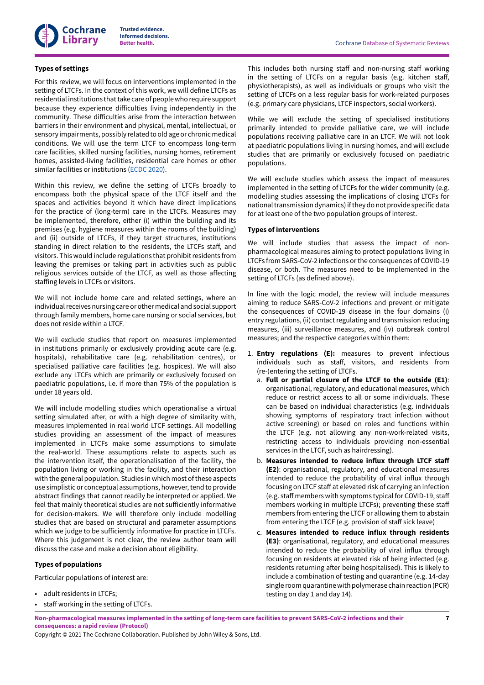# **Types of settings**

For this review, we will focus on interventions implemented in the setting of LTCFs. In the context of this work, we will define LTCFs as residential institutions that take care of people who require support because they experience difficulties living independently in the community. These difficulties arise from the interaction between barriers in their environment and physical, mental, intellectual, or sensory impairments, possibly related to old age or chronic medical conditions. We will use the term LTCF to encompass long-term care facilities, skilled nursing facilities, nursing homes, retirement homes, assisted-living facilities, residential care homes or other similar facilities or institutions [\(ECDC 2020](#page-19-1)).

Within this review, we define the setting of LTCFs broadly to encompass both the physical space of the LTCF itself and the spaces and activities beyond it which have direct implications for the practice of (long-term) care in the LTCFs. Measures may be implemented, therefore, either (i) within the building and its premises (e.g. hygiene measures within the rooms of the building) and (ii) outside of LTCFs, if they target structures, institutions standing in direct relation to the residents, the LTCFs staff, and visitors. This would include regulations that prohibit residents from leaving the premises or taking part in activities such as public religious services outside of the LTCF, as well as those affecting staffing levels in LTCFs or visitors.

We will not include home care and related settings, where an individual receives nursing care or other medical and social support through family members, home care nursing or social services, but does not reside within a LTCF.

We will exclude studies that report on measures implemented in institutions primarily or exclusively providing acute care (e.g. hospitals), rehabilitative care (e.g. rehabilitation centres), or specialised palliative care facilities (e.g. hospices). We will also exclude any LTCFs which are primarily or exclusively focused on paediatric populations, i.e. if more than 75% of the population is under 18 years old.

We will include modelling studies which operationalise a virtual setting simulated after, or with a high degree of similarity with, measures implemented in real world LTCF settings. All modelling studies providing an assessment of the impact of measures implemented in LTCFs make some assumptions to simulate the real-world. These assumptions relate to aspects such as the intervention itself, the operationalisation of the facility, the population living or working in the facility, and their interaction with the general population. Studies in which most of these aspects use simplistic or conceptual assumptions, however, tend to provide abstract findings that cannot readily be interpreted or applied. We feel that mainly theoretical studies are not sufficiently informative for decision-makers. We will therefore only include modelling studies that are based on structural and parameter assumptions which we judge to be sufficiently informative for practice in LTCFs. Where this judgement is not clear, the review author team will discuss the case and make a decision about eligibility.

## **Types of populations**

Particular populations of interest are:

- adult residents in LTCFs;
- staff working in the setting of LTCFs.

This includes both nursing staff and non-nursing staff working in the setting of LTCFs on a regular basis (e.g. kitchen staff, physiotherapists), as well as individuals or groups who visit the setting of LTCFs on a less regular basis for work-related purposes (e.g. primary care physicians, LTCF inspectors, social workers).

While we will exclude the setting of specialised institutions primarily intended to provide palliative care, we will include populations receiving palliative care in an LTCF. We will not look at paediatric populations living in nursing homes, and will exclude studies that are primarily or exclusively focused on paediatric populations.

We will exclude studies which assess the impact of measures implemented in the setting of LTCFs for the wider community (e.g. modelling studies assessing the implications of closing LTCFs for national transmission dynamics) if they do not provide specific data for at least one of the two population groups of interest.

## **Types of interventions**

We will include studies that assess the impact of nonpharmacological measures aiming to protect populations living in LTCFs from SARS-CoV-2 infections or the consequences of COVID-19 disease, or both. The measures need to be implemented in the setting of LTCFs (as defined above).

In line with the logic model, the review will include measures aiming to reduce SARS-CoV-2 infections and prevent or mitigate the consequences of COVID-19 disease in the four domains (i) entry regulations, (ii) contact regulating and transmission reducing measures, (iii) surveillance measures, and (iv) outbreak control measures; and the respective categories within them:

- 1. **Entry regulations (E):** measures to prevent infectious individuals such as staff, visitors, and residents from (re-)entering the setting of LTCFs.
	- a. **Full or partial closure of the LTCF to the outside (E1)**: organisational, regulatory, and educational measures, which reduce or restrict access to all or some individuals. These can be based on individual characteristics (e.g. individuals showing symptoms of respiratory tract infection without active screening) or based on roles and functions within the LTCF (e.g. not allowing any non-work-related visits, restricting access to individuals providing non-essential services in the LTCF, such as hairdressing).
	- b. **Measures intended to reduce influx through LTCF sta; (E2)**: organisational, regulatory, and educational measures intended to reduce the probability of viral influx through focusing on LTCF staff at elevated risk of carrying an infection (e.g. staff members with symptoms typical for COVID-19, staff members working in multiple LTCFs); preventing these sta members from entering the LTCF or allowing them to abstain from entering the LTCF (e.g. provision of staff sick leave)
	- c. **Measures intended to reduce influx through residents (E3)**: organisational, regulatory, and educational measures intended to reduce the probability of viral influx through focusing on residents at elevated risk of being infected (e.g. residents returning after being hospitalised). This is likely to include a combination of testing and quarantine (e.g. 14-day single room quarantine with polymerase chain reaction (PCR) testing on day 1 and day 14).

Non-pharmacological measures implemented in the setting of long-term care facilities to prevent SARS-CoV-2 infections and their **consequences: a rapid review (Protocol)**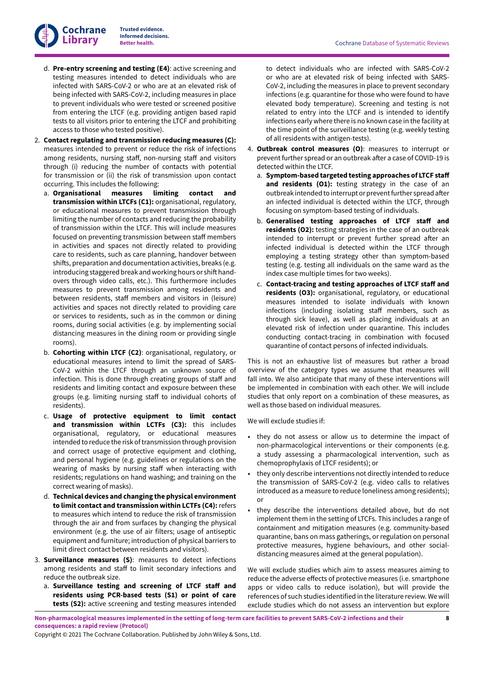**Cochrane Library**

- d. **Pre-entry screening and testing (E4)**: active screening and testing measures intended to detect individuals who are infected with SARS-CoV-2 or who are at an elevated risk of being infected with SARS-CoV-2, including measures in place to prevent individuals who were tested or screened positive from entering the LTCF (e.g. providing antigen based rapid tests to all visitors prior to entering the LTCF and prohibiting access to those who tested positive).
- 2. **Contact regulating and transmission reducing measures (C):** measures intended to prevent or reduce the risk of infections among residents, nursing staff, non-nursing staff and visitors through (i) reducing the number of contacts with potential for transmission or (ii) the risk of transmission upon contact occurring. This includes the following:
	- a. **Organisational measures limiting contact and transmission within LTCFs (C1):** organisational, regulatory, or educational measures to prevent transmission through limiting the number of contacts and reducing the probability of transmission within the LTCF. This will include measures focused on preventing transmission between staff members in activities and spaces not directly related to providing care to residents, such as care planning, handover between shifts, preparation and documentation activities, breaks (e.g. introducing staggered break and working hours or shift handovers through video calls, etc.). This furthermore includes measures to prevent transmission among residents and between residents, staff members and visitors in (leisure) activities and spaces not directly related to providing care or services to residents, such as in the common or dining rooms, during social activities (e.g. by implementing social distancing measures in the dining room or providing single rooms).
	- b. **Cohorting within LTCF (C2)**: organisational, regulatory, or educational measures intend to limit the spread of SARS-CoV-2 within the LTCF through an unknown source of infection. This is done through creating groups of staff and residents and limiting contact and exposure between these groups (e.g. limiting nursing staff to individual cohorts of residents).
	- c. **Usage of protective equipment to limit contact and transmission within LCTFs (C3):** this includes organisational, regulatory, or educational measures intended to reduce the risk of transmission through provision and correct usage of protective equipment and clothing, and personal hygiene (e.g. guidelines or regulations on the wearing of masks by nursing staff when interacting with residents; regulations on hand washing; and training on the correct wearing of masks).
	- d. **Technical devices and changing the physical environment to limit contact and transmission within LCTFs (C4):** refers to measures which intend to reduce the risk of transmission through the air and from surfaces by changing the physical environment (e.g. the use of air filters; usage of antiseptic equipment and furniture; introduction of physical barriers to limit direct contact between residents and visitors).
- 3. **Surveillance measures (S)**: measures to detect infections among residents and staff to limit secondary infections and reduce the outbreak size.
	- a. **Surveillance testing and screening of LTCF sta; and residents using PCR-based tests (S1) or point of care tests (S2):** active screening and testing measures intended

to detect individuals who are infected with SARS-CoV-2 or who are at elevated risk of being infected with SARS-CoV-2, including the measures in place to prevent secondary infections (e.g. quarantine for those who were found to have elevated body temperature). Screening and testing is not related to entry into the LTCF and is intended to identify infections early where there is no known case in the facility at the time point of the surveillance testing (e.g. weekly testing of all residents with antigen-tests).

- 4. **Outbreak control measures (O)**: measures to interrupt or prevent further spread or an outbreak after a case of COVID-19 is detected within the LTCF.
	- a. **Symptom-based targeted testing approaches of LTCF sta; and residents (O1):** testing strategy in the case of an outbreak intended to interrupt or prevent further spread after an infected individual is detected within the LTCF, through focusing on symptom-based testing of individuals.
	- b. **Generalised testing approaches of LTCF sta; and residents (O2):** testing strategies in the case of an outbreak intended to interrupt or prevent further spread after an infected individual is detected within the LTCF through employing a testing strategy other than symptom-based testing (e.g. testing all individuals on the same ward as the index case multiple times for two weeks).
	- c. **Contact-tracing and testing approaches of LTCF sta; and residents (O3):** organisational, regulatory, or educational measures intended to isolate individuals with known infections (including isolating staff members, such as through sick leave), as well as placing individuals at an elevated risk of infection under quarantine. This includes conducting contact-tracing in combination with focused quarantine of contact persons of infected individuals.

This is not an exhaustive list of measures but rather a broad overview of the category types we assume that measures will fall into. We also anticipate that many of these interventions will be implemented in combination with each other. We will include studies that only report on a combination of these measures, as well as those based on individual measures.

We will exclude studies if:

- they do not assess or allow us to determine the impact of non-pharmacological interventions or their components (e.g. a study assessing a pharmacological intervention, such as chemoprophylaxis of LTCF residents); or
- they only describe interventions not directly intended to reduce the transmission of SARS-CoV-2 (e.g. video calls to relatives introduced as a measure to reduce loneliness among residents); or
- they describe the interventions detailed above, but do not implement them in the setting of LTCFs. This includes a range of containment and mitigation measures (e.g. community-based quarantine, bans on mass gatherings, or regulation on personal protective measures, hygiene behaviours, and other socialdistancing measures aimed at the general population).

We will exclude studies which aim to assess measures aiming to reduce the adverse effects of protective measures (i.e. smartphone apps or video calls to reduce isolation), but will provide the references of such studies identified in the literature review. We will exclude studies which do not assess an intervention but explore

Non-pharmacological measures implemented in the setting of long-term care facilities to prevent SARS-CoV-2 infections and their **consequences: a rapid review (Protocol)**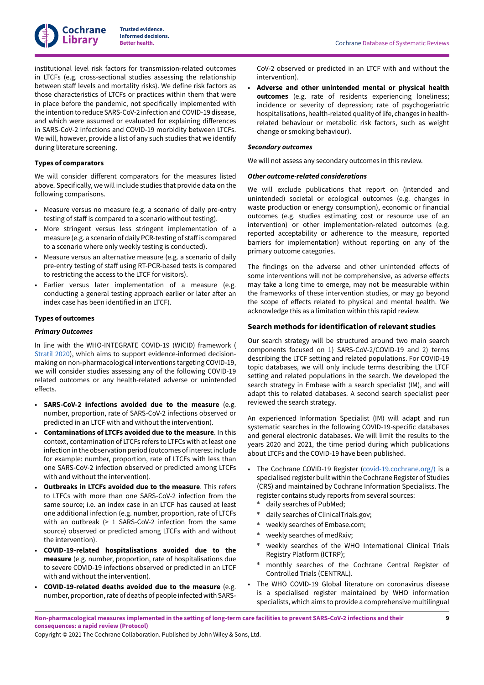

institutional level risk factors for transmission-related outcomes in LTCFs (e.g. cross-sectional studies assessing the relationship between staff levels and mortality risks). We define risk factors as those characteristics of LTCFs or practices within them that were in place before the pandemic, not specifically implemented with the intention to reduce SARS-CoV-2 infection and COVID-19 disease, and which were assumed or evaluated for explaining differences in SARS-CoV-2 infections and COVID-19 morbidity between LTCFs. We will, however, provide a list of any such studies that we identify during literature screening.

## **Types of comparators**

We will consider different comparators for the measures listed above. Specifically, we will include studies that provide data on the following comparisons.

- Measure versus no measure (e.g. a scenario of daily pre-entry testing of staff is compared to a scenario without testing).
- More stringent versus less stringent implementation of a measure (e.g. a scenario of daily PCR-testing of staff is compared to a scenario where only weekly testing is conducted).
- Measure versus an alternative measure (e.g. a scenario of daily pre-entry testing of staff using RT-PCR-based tests is compared to restricting the access to the LTCF for visitors).
- Earlier versus later implementation of a measure (e.g. conducting a general testing approach earlier or later after an index case has been identified in an LTCF).

## **Types of outcomes**

#### *Primary Outcomes*

In line with the WHO-INTEGRATE COVID-19 (WICID) framework ( [Stratil](#page-21-9) 2020), which aims to support evidence-informed decisionmaking on non-pharmacological interventions targeting COVID-19, we will consider studies assessing any of the following COVID-19 related outcomes or any health-related adverse or unintended effects.

- **SARS-CoV-2 infections avoided due to the measure** (e.g. number, proportion, rate of SARS-CoV-2 infections observed or predicted in an LTCF with and without the intervention).
- **Contaminations of LTCFs avoided due to the measure**. In this context, contamination of LTCFs refers to LTFCs with at least one infection in the observation period (outcomes of interest include for example: number, proportion, rate of LTCFs with less than one SARS-CoV-2 infection observed or predicted among LTCFs with and without the intervention).
- **Outbreaks in LTCFs avoided due to the measure**. This refers to LTFCs with more than one SARS-CoV-2 infection from the same source; i.e. an index case in an LTCF has caused at least one additional infection (e.g. number, proportion, rate of LTCFs with an outbreak (> 1 SARS-CoV-2 infection from the same source) observed or predicted among LTCFs with and without the intervention).
- **COVID-19-related hospitalisations avoided due to the measure** (e.g. number, proportion, rate of hospitalisations due to severe COVID-19 infections observed or predicted in an LTCF with and without the intervention).
- **COVID-19-related deaths avoided due to the measure** (e.g. number, proportion, rate of deaths of people infected with SARS-

CoV-2 observed or predicted in an LTCF with and without the intervention).

• **Adverse and other unintended mental or physical health outcomes** (e.g. rate of residents experiencing loneliness; incidence or severity of depression; rate of psychogeriatric hospitalisations, health-related quality of life, changes in healthrelated behaviour or metabolic risk factors, such as weight change or smoking behaviour).

#### *Secondary outcomes*

We will not assess any secondary outcomes in this review.

#### *Other outcome-related considerations*

We will exclude publications that report on (intended and unintended) societal or ecological outcomes (e.g. changes in waste production or energy consumption), economic or financial outcomes (e.g. studies estimating cost or resource use of an intervention) or other implementation-related outcomes (e.g. reported acceptability or adherence to the measure, reported barriers for implementation) without reporting on any of the primary outcome categories.

The findings on the adverse and other unintended effects of some interventions will not be comprehensive, as adverse effects may take a long time to emerge, may not be measurable within the frameworks of these intervention studies, or may go beyond the scope of effects related to physical and mental health. We acknowledge this as a limitation within this rapid review.

## **Search methods for identification of relevant studies**

Our search strategy will be structured around two main search components focused on 1) SARS-CoV-2/COVID-19 and 2) terms describing the LTCF setting and related populations. For COVID-19 topic databases, we will only include terms describing the LTCF setting and related populations in the search. We developed the search strategy in Embase with a search specialist (IM), and will adapt this to related databases. A second search specialist peer reviewed the search strategy.

An experienced Information Specialist (IM) will adapt and run systematic searches in the following COVID-19-specific databases and general electronic databases. We will limit the results to the years 2020 and 2021, the time period during which publications about LTCFs and the COVID-19 have been published.

- The Cochrane COVID-19 Register [\(covid-19.cochrane.org/\)](https://covid-19.cochrane.org/)) is a specialised register built within the Cochrane Register of Studies (CRS) and maintained by Cochrane Information Specialists. The register contains study reports from several sources:
	- daily searches of PubMed;
	- daily searches of ClinicalTrials.gov;
	- weekly searches of Embase.com;
	- weekly searches of medRxiv;
	- weekly searches of the WHO International Clinical Trials Registry Platform (ICTRP);
	- monthly searches of the Cochrane Central Register of Controlled Trials (CENTRAL).
- The WHO COVID-19 Global literature on coronavirus disease is a specialised register maintained by WHO information specialists, which aims to provide a comprehensive multilingual

Non-pharmacological measures implemented in the setting of long-term care facilities to prevent SARS-CoV-2 infections and their **consequences: a rapid review (Protocol)**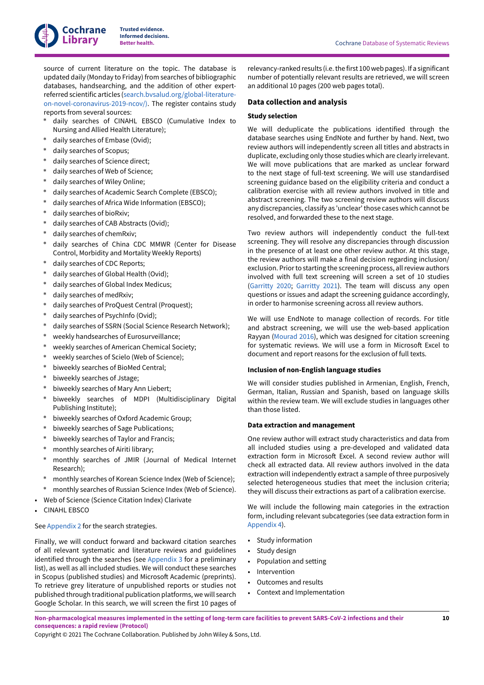source of current literature on the topic. The database is updated daily (Monday to Friday) from searches of bibliographic databases, handsearching, and the addition of other expertreferred scientific articles ([search.bvsalud.org/global-literature](https://search.bvsalud.org/global-literature-on-novel-coronavirus-2019-ncov/))[on-novel-coronavirus-2019-ncov/\)](https://search.bvsalud.org/global-literature-on-novel-coronavirus-2019-ncov/)). The register contains study reports from several sources:

- daily searches of CINAHL EBSCO (Cumulative Index to Nursing and Allied Health Literature);
- daily searches of Embase (Ovid);
- daily searches of Scopus;
- daily searches of Science direct;
- daily searches of Web of Science;
- daily searches of Wiley Online;
- daily searches of Academic Search Complete (EBSCO);
- daily searches of Africa Wide Information (EBSCO);
- daily searches of bioRxiv;
- daily searches of CAB Abstracts (Ovid);
- daily searches of chemRxiv;
- daily searches of China CDC MMWR (Center for Disease Control, Morbidity and Mortality Weekly Reports)
- daily searches of CDC Reports;
- daily searches of Global Health (Ovid);
- daily searches of Global Index Medicus;
- daily searches of medRxiv;
- daily searches of ProQuest Central (Proquest);
- daily searches of PsychInfo (Ovid);
- daily searches of SSRN (Social Science Research Network);
- weekly handsearches of Eurosurveillance;
- weekly searches of American Chemical Society;
- weekly searches of Scielo (Web of Science);
- biweekly searches of BioMed Central;
- biweekly searches of Jstage;
- biweekly searches of Mary Ann Liebert;
- biweekly searches of MDPI (Multidisciplinary Digital Publishing Institute);
- biweekly searches of Oxford Academic Group;
- biweekly searches of Sage Publications;
- biweekly searches of Taylor and Francis;
- monthly searches of Airiti library;
- monthly searches of JMIR (Journal of Medical Internet Research);
- monthly searches of Korean Science Index (Web of Science);
- monthly searches of Russian Science Index (Web of Science).
- Web of Science (Science Citation Index) Clarivate
- CINAHL EBSCO

## See [Appendix 2](#page-24-0) for the search strategies.

Finally, we will conduct forward and backward citation searches of all relevant systematic and literature reviews and guidelines identified through the searches (see [Appendix 3](#page-26-0) for a preliminary list), as well as all included studies. We will conduct these searches in Scopus (published studies) and Microsoft Academic (preprints). To retrieve grey literature of unpublished reports or studies not published through traditional publication platforms, we will search Google Scholar. In this search, we will screen the first 10 pages of

relevancy-ranked results (i.e. the first 100 web pages). If a significant number of potentially relevant results are retrieved, we will screen an additional 10 pages (200 web pages total).

## **Data collection and analysis**

## **Study selection**

We will deduplicate the publications identified through the database searches using EndNote and further by hand. Next, two review authors will independently screen all titles and abstracts in duplicate, excluding only those studies which are clearly irrelevant. We will move publications that are marked as unclear forward to the next stage of full-text screening. We will use standardised screening guidance based on the eligibility criteria and conduct a calibration exercise with all review authors involved in title and abstract screening. The two screening review authors will discuss any discrepancies, classify as 'unclear'those cases which cannot be resolved, and forwarded these to the next stage.

Two review authors will independently conduct the full-text screening. They will resolve any discrepancies through discussion in the presence of at least one other review author. At this stage, the review authors will make a final decision regarding inclusion/ exclusion. Prior to starting the screening process, all review authors involved with full text screening will screen a set of 10 studies [\(Garritty](#page-19-12) 2020; [Garritty](#page-19-13) 2021). The team will discuss any open questions or issues and adapt the screening guidance accordingly, in order to harmonise screening across all review authors.

We will use EndNote to manage collection of records. For title and abstract screening, we will use the web-based application Rayyan [\(Mourad](#page-20-10) 2016), which was designed for citation screening for systematic reviews. We will use a form in Microsoft Excel to document and report reasons for the exclusion of full texts.

## **Inclusion of non-English language studies**

We will consider studies published in Armenian, English, French, German, Italian, Russian and Spanish, based on language skills within the review team. We will exclude studies in languages other than those listed.

#### **Data extraction and management**

One review author will extract study characteristics and data from all included studies using a pre-developed and validated data extraction form in Microsoft Excel. A second review author will check all extracted data. All review authors involved in the data extraction will independently extract a sample of three purposively selected heterogeneous studies that meet the inclusion criteria; they will discuss their extractions as part of a calibration exercise.

We will include the following main categories in the extraction form, including relevant subcategories (see data extraction form in [Appendix 4](#page-26-1)).

- Study information
- Study design
- Population and setting
- Intervention
- Outcomes and results
- Context and Implementation

Non-pharmacological measures implemented in the setting of long-term care facilities to prevent SARS-CoV-2 infections and their **consequences: a rapid review (Protocol)**

Copyright © 2021 The Cochrane Collaboration. Published by John Wiley & Sons, Ltd.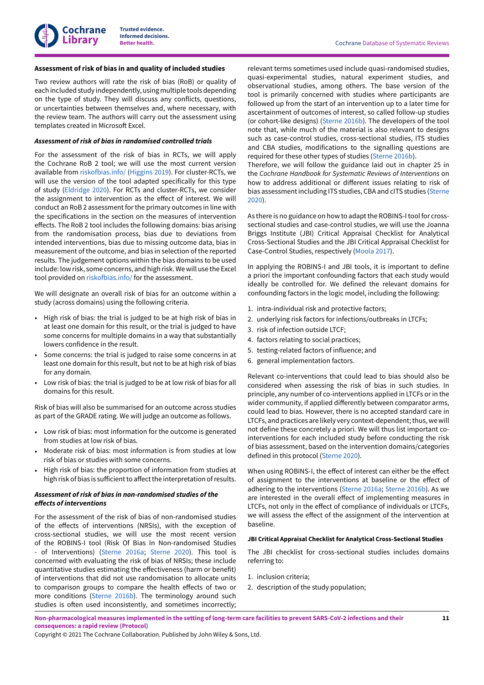#### **Assessment of risk of bias in and quality of included studies**

Two review authors will rate the risk of bias (RoB) or quality of each included study independently, using multiple tools depending on the type of study. They will discuss any conflicts, questions, or uncertainties between themselves and, where necessary, with the review team. The authors will carry out the assessment using templates created in Microsoft Excel.

#### *Assessment of risk of bias in randomised controlled trials*

For the assessment of the risk of bias in RCTs, we will apply the Cochrane RoB 2 tool; we will use the most current version available from [riskofbias.info/](https://www.riskofbias.info/) ([Higgins 2019\)](#page-19-15). For cluster-RCTs, we will use the version of the tool adapted specifically for this type of study [\(Eldridge](#page-19-16) 2020). For RCTs and cluster-RCTs, we consider the assignment to intervention as the effect of interest. We will conduct an RoB 2 assessment for the primary outcomes in line with the specifications in the section on the measures of intervention effects. The RoB 2 tool includes the following domains: bias arising from the randomisation process, bias due to deviations from intended interventions, bias due to missing outcome data, bias in measurement of the outcome, and bias in selection of the reported results. The judgement options within the bias domains to be used include: lowrisk, some concerns, and high risk.Wewill use the Excel tool provided on [riskofbias.info/](https://www.riskofbias.info/) for the assessment.

We will designate an overall risk of bias for an outcome within a study (across domains) using the following criteria.

- High risk of bias: the trial is judged to be at high risk of bias in at least one domain for this result, or the trial is judged to have some concerns for multiple domains in a way that substantially lowers confidence in the result.
- Some concerns: the trial is judged to raise some concerns in at least one domain for this result, but not to be at high risk of bias for any domain.
- Low risk of bias: the trial is judged to be at low risk of bias for all domains for this result.

Risk of bias will also be summarised for an outcome across studies as part of the GRADE rating. We will judge an outcome as follows.

- Low risk of bias: most information for the outcome is generated from studies at low risk of bias.
- Moderate risk of bias: most information is from studies at low risk of bias or studies with some concerns.
- High risk of bias: the proportion of information from studies at high risk of bias is sufficient to affect the interpretation of results.

## *Assessment of risk of bias in non-randomised studies of the*  $e$ *ffects* of *interventions*

For the assessment of the risk of bias of non-randomised studies of the effects of interventions (NRSIs), with the exception of cross-sectional studies, we will use the most recent version of the ROBINS-I tool (Risk Of Bias In Non-randomised Studies of Interventions) ([Sterne](#page-21-11) 2016a; Sterne 2020). This tool is concerned with evaluating the risk of bias of NRSIs; these include quantitative studies estimating the effectiveness (harm or benefit) of interventions that did not use randomisation to allocate units to comparison groups to compare the health effects of two or more conditions ([Sterne](#page-21-12) 2016b). The terminology around such studies is often used inconsistently, and sometimes incorrectly;

relevant terms sometimes used include quasi-randomised studies, quasi-experimental studies, natural experiment studies, and observational studies, among others. The base version of the tool is primarily concerned with studies where participants are followed up from the start of an intervention up to a later time for ascertainment of outcomes of interest, so called follow-up studies (or cohort-like designs) ([Sterne](#page-21-12) 2016b). The developers of the tool note that, while much of the material is also relevant to designs such as case-control studies, cross-sectional studies, ITS studies and CBA studies, modifications to the signalling questions are required for these other types of studies ([Sterne](#page-21-12) 2016b).

Therefore, we will follow the guidance laid out in chapter 25 in the *Cochrane Handbook for Systematic Reviews of Interventions* on how to address additional or different issues relating to risk of bias assessmentincluding ITS studies, CBA and cITS studies [\(Sterne](#page-21-11) [2020\)](#page-21-11).

As there is no guidance on how to adapt the ROBINS-I tool for crosssectional studies and case-control studies, we will use the Joanna Briggs Institute (JBI) Critical Appraisal Checklist for Analytical Cross-Sectional Studies and the JBI Critical Appraisal Checklist for Case-Control Studies, respectively [\(Moola 2017\)](#page-20-11).

In applying the ROBINS-I and JBI tools, it is important to define a priori the important confounding factors that each study would ideally be controlled for. We defined the relevant domains for confounding factors in the logic model, including the following:

- 1. intra-individual risk and protective factors;
- 2. underlying risk factors for infections/outbreaks in LTCFs;
- 3. risk of infection outside LTCF;
- 4. factors relating to social practices;
- 5. testing-related factors of influence; and
- 6. general implementation factors.

Relevant co-interventions that could lead to bias should also be considered when assessing the risk of bias in such studies. In principle, any number of co-interventions applied in LTCFs or in the wider community, if applied differently between comparator arms, could lead to bias. However, there is no accepted standard care in LTCFs, and practices are likely very context-dependent; thus, we will not define these concretely a priori. We will thus list important cointerventions for each included study before conducting the risk of bias assessment, based on the intervention domains/categories defined in this protocol [\(Sterne](#page-21-11) 2020).

When using ROBINS-I, the effect of interest can either be the effect of assignment to the interventions at baseline or the effect of adhering to the interventions [\(Sterne](#page-21-10) 2016a; [Sterne](#page-21-12) 2016b). As we are interested in the overall effect of implementing measures in LTCFs, not only in the effect of compliance of individuals or LTCFs, we will assess the effect of the assignment of the intervention at baseline.

#### **JBI Critical Appraisal Checklist for Analytical Cross-Sectional Studies**

The JBI checklist for cross-sectional studies includes domains referring to:

- 1. inclusion criteria;
- 2. description of the study population;

Non-pharmacological measures implemented in the setting of long-term care facilities to prevent SARS-CoV-2 infections and their **consequences: a rapid review (Protocol)**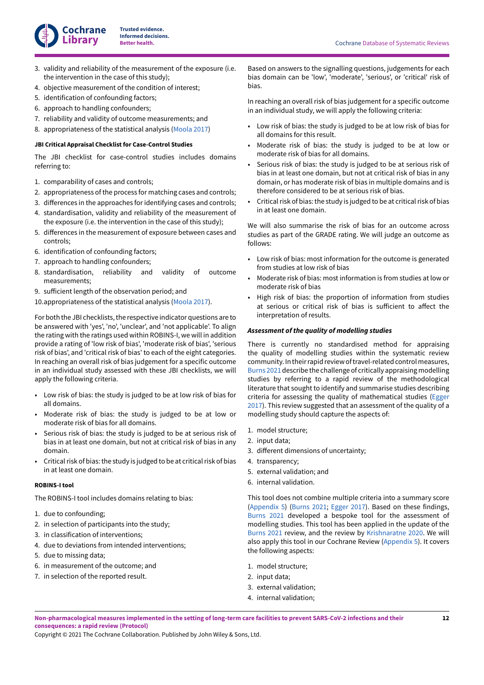

- 3. validity and reliability of the measurement of the exposure (i.e. the intervention in the case of this study);
- 4. objective measurement of the condition of interest;
- 5. identification of confounding factors;
- 6. approach to handling confounders;
- 7. reliability and validity of outcome measurements; and
- 8. appropriateness of the statistical analysis [\(Moola 2017](#page-20-11))

#### **JBI Critical Appraisal Checklist for Case-Control Studies**

The JBI checklist for case-control studies includes domains referring to:

- 1. comparability of cases and controls;
- 2. appropriateness of the process for matching cases and controls;
- 3. differences in the approaches for identifying cases and controls;
- 4. standardisation, validity and reliability of the measurement of the exposure (i.e. the intervention in the case of this study);
- 5. differences in the measurement of exposure between cases and controls;
- 6. identification of confounding factors;
- 7. approach to handling confounders;
- 8. standardisation, reliability and validity of outcome measurements;
- 9. sufficient length of the observation period; and
- 10.appropriateness of the statistical analysis [\(Moola 2017](#page-20-11)).

For both the JBI checklists, the respective indicator questions are to be answered with 'yes', 'no', 'unclear', and 'not applicable'. To align the rating with the ratings used within ROBINS-I, we will in addition provide a rating of 'low risk of bias', 'moderate risk of bias', 'serious risk of bias', and 'critical risk of bias' to each of the eight categories. In reaching an overall risk of bias judgement for a specific outcome in an individual study assessed with these JBI checklists, we will apply the following criteria.

- Low risk of bias: the study is judged to be at low risk of bias for all domains.
- Moderate risk of bias: the study is judged to be at low or moderate risk of bias for all domains.
- Serious risk of bias: the study is judged to be at serious risk of bias in at least one domain, but not at critical risk of bias in any domain.
- Critical risk of bias: the study is judged to be at critical risk of bias in at least one domain.

## **ROBINS-I tool**

The ROBINS-I tool includes domains relating to bias:

- 1. due to confounding;
- 2. in selection of participants into the study;
- 3. in classification of interventions;
- 4. due to deviations from intended interventions;
- 5. due to missing data;
- 6. in measurement of the outcome; and
- 7. in selection of the reported result.

Based on answers to the signalling questions, judgements for each bias domain can be 'low', 'moderate', 'serious', or 'critical' risk of bias.

In reaching an overall risk of bias judgement for a specific outcome in an individual study, we will apply the following criteria:

- Low risk of bias: the study is judged to be at low risk of bias for all domains for this result.
- Moderate risk of bias: the study is judged to be at low or moderate risk of bias for all domains.
- Serious risk of bias: the study is judged to be at serious risk of bias in at least one domain, but not at critical risk of bias in any domain, or has moderate risk of bias in multiple domains and is therefore considered to be at serious risk of bias.
- $\cdot$  Critical risk of bias: the study is judged to be at critical risk of bias in at least one domain.

We will also summarise the risk of bias for an outcome across studies as part of the GRADE rating. We will judge an outcome as follows:

- Low risk of bias: most information for the outcome is generated from studies at low risk of bias
- Moderate risk of bias: most information is from studies at low or moderate risk of bias
- High risk of bias: the proportion of information from studies at serious or critical risk of bias is sufficient to affect the interpretation of results.

#### *Assessment of the quality of modelling studies*

There is currently no standardised method for appraising the quality of modelling studies within the systematic review community. In their rapid review of travel-related control measures, [Burns 2021](#page-18-15) describe the challenge of critically appraising modelling studies by referring to a rapid review of the methodological literature that sought to identify and summarise studies describing criteria for assessing the quality of mathematical studies [\(Egger](#page-19-17) [2017\)](#page-19-17). This review suggested that an assessment of the quality of a modelling study should capture the aspects of:

- 1. model structure;
- 2. input data;
- 3. different dimensions of uncertainty;
- 4. transparency;
- 5. external validation; and
- 6. internal validation.

This tool does not combine multiple criteria into a summary score [\(Appendix 5](#page-28-0)) [\(Burns 2021;](#page-18-15) [Egger](#page-19-17) 2017). Based on these findings, [Burns 2021](#page-18-15) developed a bespoke tool for the assessment of modelling studies. This tool has been applied in the update of the [Burns 2021](#page-18-15) review, and the review by [Krishnaratne](#page-20-12) 2020. We will also apply this tool in our Cochrane Review [\(Appendix 5](#page-28-0)). It covers the following aspects:

- 1. model structure;
- 2. input data;
- 3. external validation;
- 4. internal validation;

Non-pharmacological measures implemented in the setting of long-term care facilities to prevent SARS-CoV-2 infections and their **consequences: a rapid review (Protocol)**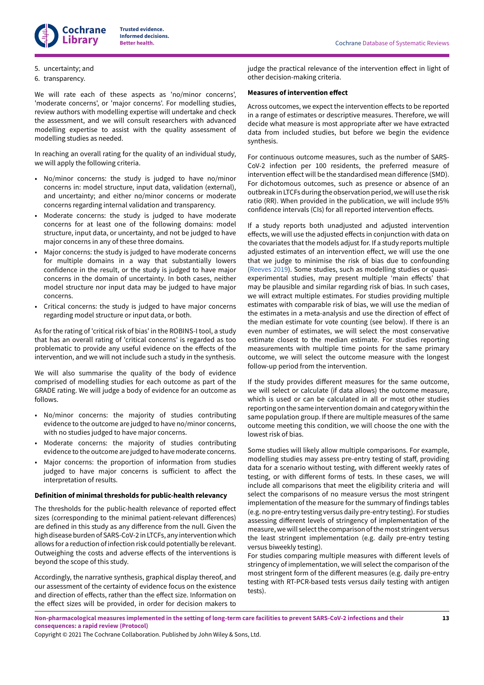## 5. uncertainty; and

6. transparency.

We will rate each of these aspects as 'no/minor concerns', 'moderate concerns', or 'major concerns'. For modelling studies, review authors with modelling expertise will undertake and check the assessment, and we will consult researchers with advanced modelling expertise to assist with the quality assessment of modelling studies as needed.

In reaching an overall rating for the quality of an individual study, we will apply the following criteria.

- No/minor concerns: the study is judged to have no/minor concerns in: model structure, input data, validation (external), and uncertainty; and either no/minor concerns or moderate concerns regarding internal validation and transparency.
- Moderate concerns: the study is judged to have moderate concerns for at least one of the following domains: model structure, input data, or uncertainty, and not be judged to have major concerns in any of these three domains.
- Major concerns: the study is judged to have moderate concerns for multiple domains in a way that substantially lowers confidence in the result, or the study is judged to have major concerns in the domain of uncertainty. In both cases, neither model structure nor input data may be judged to have major concerns.
- Critical concerns: the study is judged to have major concerns regarding model structure or input data, or both.

As for the rating of 'critical risk of bias' in the ROBINS-I tool, a study that has an overall rating of 'critical concerns' is regarded as too problematic to provide any useful evidence on the effects of the intervention, and we will not include such a study in the synthesis.

We will also summarise the quality of the body of evidence comprised of modelling studies for each outcome as part of the GRADE rating. We will judge a body of evidence for an outcome as follows.

- No/minor concerns: the majority of studies contributing evidence to the outcome are judged to have no/minor concerns, with no studies judged to have major concerns.
- Moderate concerns: the majority of studies contributing evidence to the outcome are judged to have moderate concerns.
- Major concerns: the proportion of information from studies judged to have major concerns is sufficient to affect the interpretation of results.

#### **Definition of minimal thresholds for public-health relevancy**

The thresholds for the public-health relevance of reported effect sizes (corresponding to the minimal patient-relevant differences) are defined in this study as any difference from the null. Given the high disease burden of SARS-CoV-2 in LTCFs, any interventionwhich allows for a reduction of infection risk could potentially be relevant. Outweighing the costs and adverse effects of the interventions is beyond the scope of this study.

Accordingly, the narrative synthesis, graphical display thereof, and our assessment of the certainty of evidence focus on the existence and direction of effects, rather than the effect size. Information on the effect sizes will be provided, in order for decision makers to judge the practical relevance of the intervention effect in light of other decision-making criteria.

#### **Measures of intervention effect**

Across outcomes, we expect the intervention effects to be reported in a range of estimates or descriptive measures. Therefore, we will decide what measure is most appropriate after we have extracted data from included studies, but before we begin the evidence synthesis.

For continuous outcome measures, such as the number of SARS-CoV-2 infection per 100 residents, the preferred measure of intervention effect will be the standardised mean difference (SMD). For dichotomous outcomes, such as presence or absence of an outbreak in LTCFs during the observation period, we will use the risk ratio (RR). When provided in the publication, we will include 95% confidence intervals (CIs) for all reported intervention effects.

If a study reports both unadjusted and adjusted intervention effects, we will use the adjusted effects in conjunction with data on the covariates that the models adjust for. If a study reports multiple adjusted estimates of an intervention effect, we will use the one that we judge to minimise the risk of bias due to confounding [\(Reeves](#page-21-13) 2019). Some studies, such as modelling studies or quasiexperimental studies, may present multiple 'main effects' that may be plausible and similar regarding risk of bias. In such cases, we will extract multiple estimates. For studies providing multiple estimates with comparable risk of bias, we will use the median of the estimates in a meta-analysis and use the direction of effect of the median estimate for vote counting (see below). If there is an even number of estimates, we will select the most conservative estimate closest to the median estimate. For studies reporting measurements with multiple time points for the same primary outcome, we will select the outcome measure with the longest follow-up period from the intervention.

If the study provides different measures for the same outcome, we will select or calculate (if data allows) the outcome measure, which is used or can be calculated in all or most other studies reporting on the same intervention domain and categorywithin the same population group. If there are multiple measures of the same outcome meeting this condition, we will choose the one with the lowest risk of bias.

Some studies will likely allow multiple comparisons. For example, modelling studies may assess pre-entry testing of staff, providing data for a scenario without testing, with different weekly rates of testing, or with different forms of tests. In these cases, we will include all comparisons that meet the eligibility criteria and will select the comparisons of no measure versus the most stringent implementation of the measure for the summary of findings tables (e.g. no pre-entry testing versus daily pre-entry testing). For studies assessing different levels of stringency of implementation of the measure, we will select the comparison of the most stringent versus the least stringent implementation (e.g. daily pre-entry testing versus biweekly testing).

For studies comparing multiple measures with different levels of stringency of implementation, we will select the comparison of the most stringent form of the different measures (e.g. daily pre-entry testing with RT-PCR-based tests versus daily testing with antigen tests).

Non-pharmacological measures implemented in the setting of long-term care facilities to prevent SARS-CoV-2 infections and their **consequences: a rapid review (Protocol)**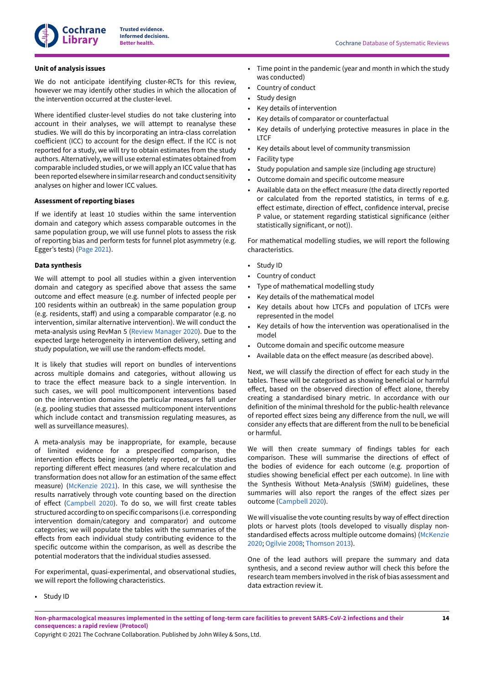

#### **Unit of analysis issues**

We do not anticipate identifying cluster-RCTs for this review, however we may identify other studies in which the allocation of the intervention occurred at the cluster-level.

Where identified cluster-level studies do not take clustering into account in their analyses, we will attempt to reanalyse these studies. We will do this by incorporating an intra-class correlation coefficient (ICC) to account for the design effect. If the ICC is not reported for a study, we will try to obtain estimates from the study authors. Alternatively, we will use external estimates obtained from comparable included studies, or we will apply an ICC value that has been reported elsewhere in similar research and conduct sensitivity analyses on higher and lower ICC values.

## **Assessment of reporting biases**

If we identify at least 10 studies within the same intervention domain and category which assess comparable outcomes in the same population group, we will use funnel plots to assess the risk of reporting bias and perform tests for funnel plot asymmetry (e.g. Egger's tests) [\(Page](#page-20-13) 2021).

## **Data synthesis**

We will attempt to pool all studies within a given intervention domain and category as specified above that assess the same outcome and effect measure (e.g. number of infected people per 100 residents within an outbreak) in the same population group (e.g. residents, staff) and using a comparable comparator (e.g. no intervention, similar alternative intervention). We will conduct the meta-analysis using RevMan 5 (Review [Manager](#page-21-14) 2020). Due to the expected large heterogeneity in intervention delivery, setting and study population, we will use the random-effects model.

It is likely that studies will report on bundles of interventions across multiple domains and categories, without allowing us to trace the effect measure back to a single intervention. In such cases, we will pool multicomponent interventions based on the intervention domains the particular measures fall under (e.g. pooling studies that assessed multicomponent interventions which include contact and transmission regulating measures, as well as surveillance measures).

A meta-analysis may be inappropriate, for example, because of limited evidence for a prespecified comparison, the intervention effects being incompletely reported, or the studies reporting different effect measures (and where recalculation and transformation does not allow for an estimation of the same effect measure) [\(McKenzie](#page-20-14) 2021). In this case, we will synthesise the results narratively through vote counting based on the direction of effect ([Campbell 2020\)](#page-18-16). To do so, we will first create tables structured according to on specific comparisons (i.e. corresponding intervention domain/category and comparator) and outcome categories; we will populate the tables with the summaries of the effects from each individual study contributing evidence to the specific outcome within the comparison, as well as describe the potential moderators that the individual studies assessed.

For experimental, quasi-experimental, and observational studies, we will report the following characteristics.

- **Better health.** Cochrane Database of Systematic Reviews
- Time point in the pandemic (year and month in which the study was conducted)
- Country of conduct
- Study design
- Key details of intervention
- Key details of comparator or counterfactual
- Key details of underlying protective measures in place in the **LTCF**
- Key details about level of community transmission
- Facility type
- Study population and sample size (including age structure)
- Outcome domain and specific outcome measure
- Available data on the effect measure (the data directly reported or calculated from the reported statistics, in terms of e.g. effect estimate, direction of effect, confidence interval, precise P value, or statement regarding statistical significance (either statistically significant, or not)).

For mathematical modelling studies, we will report the following characteristics.

- Study ID
- Country of conduct
- Type of mathematical modelling study
- Key details of the mathematical model
- Key details about how LTCFs and population of LTCFs were represented in the model
- Key details of how the intervention was operationalised in the model
- Outcome domain and specific outcome measure
- Available data on the effect measure (as described above).

Next, we will classify the direction of effect for each study in the tables. These will be categorised as showing beneficial or harmful effect, based on the observed direction of effect alone, thereby creating a standardised binary metric. In accordance with our definition of the minimal threshold for the public-health relevance of reported effect sizes being any difference from the null, we will consider any effects that are different from the null to be beneficial or harmful.

We will then create summary of findings tables for each comparison. These will summarise the directions of effect of the bodies of evidence for each outcome (e.g. proportion of studies showing beneficial effect per each outcome). In line with the Synthesis Without Meta-Analysis (SWiM) guidelines, these summaries will also report the ranges of the effect sizes per outcome ([Campbell 2020\)](#page-18-16).

We will visualise the vote counting results by way of effect direction plots or harvest plots (tools developed to visually display non-standardised effects across multiple outcome domains) [\(McKenzie](#page-20-15) [2020;](#page-20-15) [Ogilvie 2008](#page-20-16); [Thomson 2013\)](#page-22-14).

One of the lead authors will prepare the summary and data synthesis, and a second review author will check this before the research team members involved in the risk of bias assessment and data extraction review it.

• Study ID

Non-pharmacological measures implemented in the setting of long-term care facilities to prevent SARS-CoV-2 infections and their **consequences: a rapid review (Protocol)**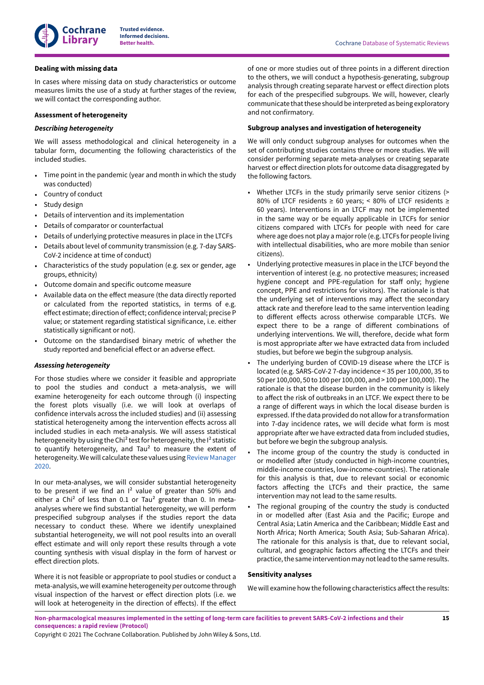

## **Dealing with missing data**

In cases where missing data on study characteristics or outcome measures limits the use of a study at further stages of the review, we will contact the corresponding author.

## **Assessment of heterogeneity**

## *Describing heterogeneity*

We will assess methodological and clinical heterogeneity in a tabular form, documenting the following characteristics of the included studies.

- Time point in the pandemic (year and month in which the study was conducted)
- Country of conduct
- Study design
- Details of intervention and its implementation
- Details of comparator or counterfactual
- Details of underlying protective measures in place in the LTCFs
- Details about level of community transmission (e.g. 7-day SARS-CoV-2 incidence at time of conduct)
- Characteristics of the study population (e.g. sex or gender, age groups, ethnicity)
- Outcome domain and specific outcome measure
- Available data on the effect measure (the data directly reported or calculated from the reported statistics, in terms of e.g. effect estimate; direction of effect; confidence interval; precise P value; or statement regarding statistical significance, i.e. either statistically significant or not).
- Outcome on the standardised binary metric of whether the study reported and beneficial effect or an adverse effect.

## *Assessing heterogeneity*

For those studies where we consider it feasible and appropriate to pool the studies and conduct a meta-analysis, we will examine heterogeneity for each outcome through (i) inspecting the forest plots visually (i.e. we will look at overlaps of confidence intervals across the included studies) and (ii) assessing statistical heterogeneity among the intervention effects across all included studies in each meta-analysis. We will assess statistical heterogeneity by using the Chi<sup>2</sup> test for heterogeneity, the I<sup>2</sup> statistic to quantify heterogeneity, and Tau $2$  to measure the extent of heterogeneity.We will calculate these values using Review [Manager](#page-21-14) [2020](#page-21-14).

In our meta-analyses, we will consider substantial heterogeneity to be present if we find an  $I^2$  value of greater than 50% and either a Chi<sup>2</sup> of less than 0.1 or Tau<sup>2</sup> greater than 0. In metaanalyses where we find substantial heterogeneity, we will perform prespecified subgroup analyses if the studies report the data necessary to conduct these. Where we identify unexplained substantial heterogeneity, we will not pool results into an overall effect estimate and will only report these results through a vote counting synthesis with visual display in the form of harvest or effect direction plots.

Where it is not feasible or appropriate to pool studies or conduct a meta-analysis,wewill examine heterogeneity per outcome through visual inspection of the harvest or effect direction plots (i.e. we will look at heterogeneity in the direction of effects). If the effect

of one or more studies out of three points in a different direction to the others, we will conduct a hypothesis-generating, subgroup analysis through creating separate harvest or effect direction plots for each of the prespecified subgroups. We will, however, clearly communicate that these should be interpreted as being exploratory and not confirmatory.

## **Subgroup analyses and investigation of heterogeneity**

We will only conduct subgroup analyses for outcomes when the set of contributing studies contains three or more studies. We will consider performing separate meta-analyses or creating separate harvest or effect direction plots for outcome data disaggregated by the following factors.

- Whether LTCFs in the study primarily serve senior citizens (> 80% of LTCF residents ≥ 60 years; < 80% of LTCF residents ≥ 60 years). Interventions in an LTCF may not be implemented in the same way or be equally applicable in LTCFs for senior citizens compared with LTCFs for people with need for care where age does not play a majorrole (e.g. LTCFs for people living with intellectual disabilities, who are more mobile than senior citizens).
- Underlying protective measures in place in the LTCF beyond the intervention of interest (e.g. no protective measures; increased hygiene concept and PPE-regulation for staff only; hygiene concept, PPE and restrictions for visitors). The rationale is that the underlying set of interventions may affect the secondary attack rate and therefore lead to the same intervention leading to different effects across otherwise comparable LTCFs. We expect there to be a range of different combinations of underlying interventions. We will, therefore, decide what form is most appropriate after we have extracted data from included studies, but before we begin the subgroup analysis.
- The underlying burden of COVID-19 disease where the LTCF is located (e.g. SARS-CoV-2 7-day incidence < 35 per 100,000, 35 to 50 per 100,000, 50 to 100 per 100,000, and > 100 per 100,000). The rationale is that the disease burden in the community is likely to affect the risk of outbreaks in an LTCF. We expect there to be a range of different ways in which the local disease burden is expressed. If the data provided do not allow for a transformation into 7-day incidence rates, we will decide what form is most appropriate after we have extracted data from included studies, but before we begin the subgroup analysis.
- The income group of the country the study is conducted in or modelled after (study conducted in high-income countries, middle-income countries, low-income-countries). The rationale for this analysis is that, due to relevant social or economic factors affecting the LTCFs and their practice, the same intervention may not lead to the same results.
- The regional grouping of the country the study is conducted in or modelled after (East Asia and the Pacific; Europe and Central Asia; Latin America and the Caribbean; Middle East and North Africa; North America; South Asia; Sub-Saharan Africa). The rationale for this analysis is that, due to relevant social, cultural, and geographic factors affecting the LTCFs and their practice, the same intervention may not lead to the same results.

## **Sensitivity analyses**

We will examine how the following characteristics affect the results:

Non-pharmacological measures implemented in the setting of long-term care facilities to prevent SARS-CoV-2 infections and their **consequences: a rapid review (Protocol)**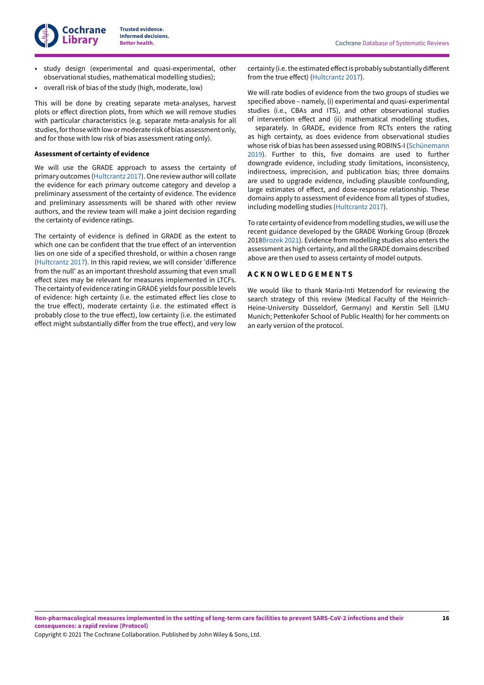- study design (experimental and quasi-experimental, other observational studies, mathematical modelling studies);
- overall risk of bias of the study (high, moderate, low)

This will be done by creating separate meta-analyses, harvest plots or effect direction plots, from which we will remove studies with particular characteristics (e.g. separate meta-analysis for all studies, for those with low or moderate risk of bias assessment only, and for those with low risk of bias assessment rating only).

#### **Assessment of certainty of evidence**

We will use the GRADE approach to assess the certainty of primary outcomes [\(Hultcrantz](#page-19-18) 2017). One review author will collate the evidence for each primary outcome category and develop a preliminary assessment of the certainty of evidence. The evidence and preliminary assessments will be shared with other review authors, and the review team will make a joint decision regarding the certainty of evidence ratings.

The certainty of evidence is defined in GRADE as the extent to which one can be confident that the true effect of an intervention lies on one side of a specified threshold, or within a chosen range [\(Hultcrantz](#page-19-18) 2017). In this rapid review, we will consider 'difference from the null' as an important threshold assuming that even small effect sizes may be relevant for measures implemented in LTCFs. The certainty of evidence rating in GRADE yields four possible levels of evidence: high certainty (i.e. the estimated effect lies close to the true effect), moderate certainty (i.e. the estimated effect is probably close to the true effect), low certainty (i.e. the estimated effect might substantially differ from the true effect), and very low

certainty (i.e. the estimated effect is probably substantially different from the true effect) [\(Hultcrantz](#page-19-18) 2017).

We will rate bodies of evidence from the two groups of studies we specified above – namely, (i) experimental and quasi-experimental studies (i.e., CBAs and ITS), and other observational studies of intervention effect and (ii) mathematical modelling studies,

separately. In GRADE, evidence from RCTs enters the rating as high certainty, as does evidence from observational studies whose risk of bias has been assessed using ROBINS-I ([Schünemann](#page-21-15) [2019\)](#page-21-15). Further to this, five domains are used to further downgrade evidence, including study limitations, inconsistency, indirectness, imprecision, and publication bias; three domains are used to upgrade evidence, including plausible confounding, large estimates of effect, and dose-response relationship. These domains apply to assessment of evidence from all types of studies, including modelling studies ([Hultcrantz](#page-19-18) 2017).

To rate certainty of evidence from modelling studies, we will use the recent guidance developed by the GRADE Working Group (Brozek 2018[Brozek](#page-18-14) 2021). Evidence from modelling studies also enters the assessment as high certainty, and alltheGRADE domains described above are then used to assess certainty of model outputs.

## <span id="page-17-0"></span>**A C K N O W L E D G E M E N T S**

We would like to thank Maria-Inti Metzendorf for reviewing the search strategy of this review (Medical Faculty of the Heinrich-Heine-University Düsseldorf, Germany) and Kerstin Sell (LMU Munich; Pettenkofer School of Public Health) for her comments on an early version of the protocol.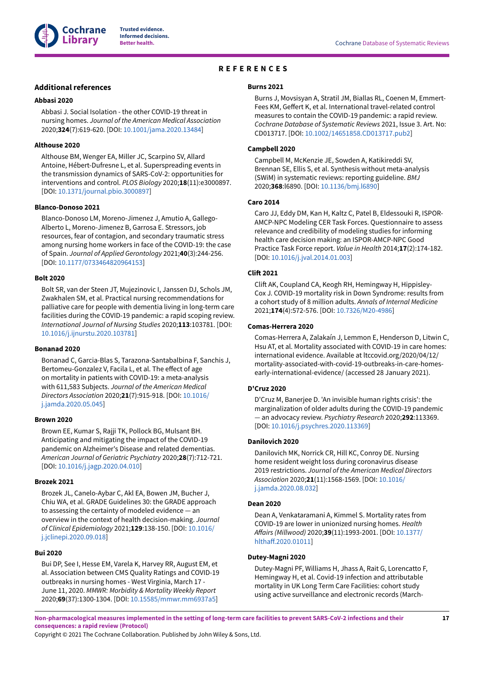

# **REFERENCES**

## <span id="page-18-0"></span>**Additional references**

## <span id="page-18-7"></span>**Abbasi 2020**

Abbasi J. Social Isolation - the other COVID-19 threat in nursing homes. *Journal of the American Medical Association* 2020;**324**(7):619-620. [DOI: [10.1001/jama.2020.13484\]](https://doi.org/10.1001%2Fjama.2020.13484)

#### <span id="page-18-3"></span>**Althouse 2020**

Althouse BM, Wenger EA, Miller JC, Scarpino SV, Allard Antoine, Hébert-Dufresne L, et al. Superspreading events in the transmission dynamics of SARS-CoV-2: opportunities for interventions and control. *PLOS Biology* 2020;**18**(11):e3000897. [DOI: [10.1371/journal.pbio.3000897\]](https://doi.org/10.1371%2Fjournal.pbio.3000897)

#### <span id="page-18-10"></span>**Blanco-Donoso 2021**

Blanco-Donoso LM, Moreno-Jimenez J, Amutio A, Gallego-Alberto L, Moreno-Jimenez B, Garrosa E. Stressors, job resources, fear of contagion, and secondary traumatic stress among nursing home workers in face of the COVID-19: the case of Spain. *Journal of Applied Gerontology* 2021;**40**(3):244-256. [DOI: [10.1177/0733464820964153](https://doi.org/10.1177%2F0733464820964153)]

#### <span id="page-18-13"></span>**Bolt 2020**

Bolt SR, van der Steen JT, Mujezinovic I, Janssen DJ, Schols JM, Zwakhalen SM, et al. Practical nursing recommendations for palliative care for people with dementia living in long-term care facilities during the COVID-19 pandemic: a rapid scoping review. *International Journal of Nursing Studies* 2020;**113**:103781. [DOI: [10.1016/j.ijnurstu.2020.103781\]](https://doi.org/10.1016%2Fj.ijnurstu.2020.103781)

#### <span id="page-18-1"></span>**Bonanad 2020**

Bonanad C, Garcia-Blas S, Tarazona-Santabalbina F, Sanchis J, Bertomeu-Gonzalez V, Facila L, et al. The effect of age on mortality in patients with COVID-19: a meta-analysis with 611,583 Subjects. *Journal of the American Medical Directors Association* 2020;**21**(7):915-918. [DOI: [10.1016/](https://doi.org/10.1016%2Fj.jamda.2020.05.045) [j.jamda.2020.05.045](https://doi.org/10.1016%2Fj.jamda.2020.05.045)]

#### <span id="page-18-12"></span>**Brown 2020**

Brown EE, Kumar S, Rajji TK, Pollock BG, Mulsant BH. Anticipating and mitigating the impact of the COVID-19 pandemic on Alzheimer's Disease and related dementias. *American Journal of Geriatric Psychiatry* 2020;**28**(7):712-721. [DOI: [10.1016/j.jagp.2020.04.010\]](https://doi.org/10.1016%2Fj.jagp.2020.04.010)

#### <span id="page-18-14"></span>**Brozek 2021**

Brozek JL, Canelo-Aybar C, Akl EA, Bowen JM, Bucher J, Chiu WA, et al. GRADE Guidelines 30: the GRADE approach to assessing the certainty of modeled evidence — an overview in the context of health decision-making. *Journal of Clinical Epidemiology* 2021;**129**:138-150. [DOI: [10.1016/](https://doi.org/10.1016%2Fj.jclinepi.2020.09.018) [j.jclinepi.2020.09.018](https://doi.org/10.1016%2Fj.jclinepi.2020.09.018)]

#### <span id="page-18-5"></span>**Bui 2020**

Bui DP, See I, Hesse EM, Varela K, Harvey RR, August EM, et al. Association between CMS Quality Ratings and COVID-19 outbreaks in nursing homes - West Virginia, March 17 - June 11, 2020. *MMWR: Morbidity & Mortality Weekly Report* 2020;**69**(37):1300-1304. [DOI: [10.15585/mmwr.mm6937a5](https://doi.org/10.15585%2Fmmwr.mm6937a5)]

#### <span id="page-18-15"></span>**Burns 2021**

Burns J, Movsisyan A, Stratil JM, Biallas RL, Coenen M, Emmert-Fees KM, Geffert K, et al. International travel-related control measures to contain the COVID-19 pandemic: a rapid review. *Cochrane Database of Systematic Reviews* 2021, Issue 3. Art. No: CD013717. [DOI: [10.1002/14651858.CD013717.pub2\]](https://doi.org/10.1002%2F14651858.CD013717.pub2)

#### <span id="page-18-16"></span>**Campbell 2020**

Campbell M, McKenzie JE, Sowden A, Katikireddi SV, Brennan SE, Ellis S, et al. Synthesis without meta-analysis (SWiM) in systematic reviews: reporting guideline. *BMJ* 2020;**368**:l6890. [DOI: [10.1136/bmj.l6890](https://doi.org/10.1136%2Fbmj.l6890)]

#### <span id="page-18-17"></span>**Caro 2014**

Caro JJ, Eddy DM, Kan H, Kaltz C, Patel B, Eldessouki R, ISPOR-AMCP-NPC Modeling CER Task Forces. Questionnaire to assess relevance and credibility of modeling studies for informing health care decision making: an ISPOR-AMCP-NPC Good Practice Task Force report. *Value in Health* 2014;**17**(2):174-182. [DOI: [10.1016/j.jval.2014.01.003\]](https://doi.org/10.1016%2Fj.jval.2014.01.003)

#### <span id="page-18-2"></span>**CliE 2021**

Clift AK, Coupland CA, Keogh RH, Hemingway H, Hippisley-Cox J. COVID-19 mortality risk in Down Syndrome: results from a cohort study of 8 million adults. *Annals of Internal Medicine* 2021;**174**(4):572-576. [DOI: [10.7326/M20-4986\]](https://doi.org/10.7326%2FM20-4986)

#### <span id="page-18-4"></span>**Comas-Herrera 2020**

Comas-Herrera A, Zalakaín J, Lemmon E, Henderson D, Litwin C, Hsu AT, et al. Mortality associated with COVID-19 in care homes: international evidence. Available at ltccovid.org/2020/04/12/ mortality-associated-with-covid-19-outbreaks-in-care-homesearly-international-evidence/ (accessed 28 January 2021).

## <span id="page-18-9"></span>**D'Cruz 2020**

D'Cruz M, Banerjee D. 'An invisible human rights crisis': the marginalization of older adults during the COVID-19 pandemic *—* an advocacy review. *Psychiatry Research* 2020;**292**:113369. [DOI: [10.1016/j.psychres.2020.113369\]](https://doi.org/10.1016%2Fj.psychres.2020.113369)

## <span id="page-18-8"></span>**Danilovich 2020**

Danilovich MK, Norrick CR, Hill KC, Conroy DE. Nursing home resident weight loss during coronavirus disease 2019 restrictions. *Journal of the American Medical Directors Association* 2020;**21**(11):1568-1569. [DOI: [10.1016/](https://doi.org/10.1016%2Fj.jamda.2020.08.032) [j.jamda.2020.08.032\]](https://doi.org/10.1016%2Fj.jamda.2020.08.032)

#### <span id="page-18-6"></span>**Dean 2020**

Dean A, Venkataramani A, Kimmel S. Mortality rates from COVID-19 are lower in unionized nursing homes. *Health A.airs (Millwood)* 2020;**39**(11):1993-2001. [DOI: [10.1377/](https://doi.org/10.1377%2Fhlthaff.2020.01011) hlthaff.2020.01011]

## <span id="page-18-11"></span>**Dutey-Magni 2020**

Dutey-Magni PF, Williams H, Jhass A, Rait G, Lorencatto F, Hemingway H, et al. Covid-19 infection and attributable mortality in UK Long Term Care Facilities: cohort study using active surveillance and electronic records (March-

Non-pharmacological measures implemented in the setting of long-term care facilities to prevent SARS-CoV-2 infections and their **consequences: a rapid review (Protocol)**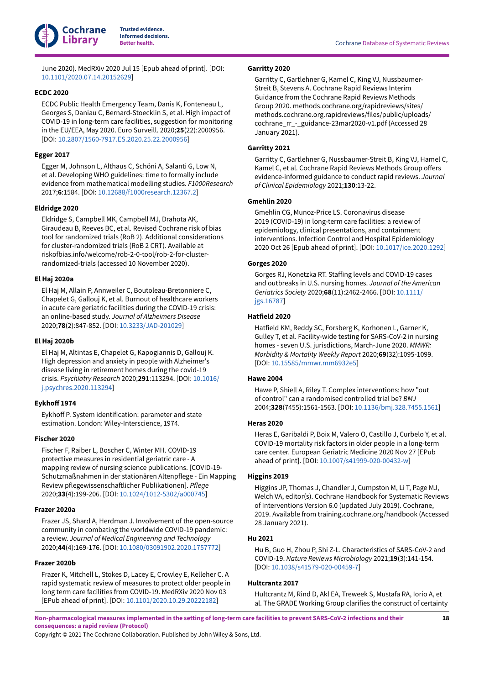

June 2020). MedRXiv 2020 Jul 15 [Epub ahead of print]. [DOI: [10.1101/2020.07.14.20152629\]](https://doi.org/10.1101%2F2020.07.14.20152629)

## <span id="page-19-1"></span>**ECDC 2020**

ECDC Public Health Emergency Team, Danis K, Fonteneau L, Georges S, Daniau C, Bernard-Stoecklin S, et al. High impact of COVID-19 in long-term care facilities, suggestion for monitoring in the EU/EEA, May 2020. Euro Surveill. 2020;**25**(22):2000956. [DOI: [10.2807/1560-7917.ES.2020.25.22.2000956](https://doi.org/10.2807%2F1560-7917.ES.2020.25.22.2000956)]

## <span id="page-19-17"></span>**Egger 2017**

Egger M, Johnson L, Althaus C, Schöni A, Salanti G, Low N, et al. Developing WHO guidelines: time to formally include evidence from mathematical modelling studies. *F1000Research* 2017;**6**:1584. [DOI: [10.12688/f1000research.12367.2](https://doi.org/10.12688%2Ff1000research.12367.2)]

## <span id="page-19-16"></span>**Eldridge 2020**

Eldridge S, Campbell MK, Campbell MJ, Drahota AK, Giraudeau B, Reeves BC, et al. Revised Cochrane risk of bias tool for randomized trials (RoB 2). Additional considerations for cluster-randomized trials (RoB 2 CRT). Available at riskofbias.info/welcome/rob-2-0-tool/rob-2-for-clusterrandomized-trials (accessed 10 November 2020).

#### <span id="page-19-9"></span>**El Haj 2020a**

El Haj M, Allain P, Annweiler C, Boutoleau-Bretonniere C, Chapelet G, Gallouj K, et al. Burnout of healthcare workers in acute care geriatric facilities during the COVID-19 crisis: an online-based study. *Journal of Alzheimers Disease* 2020;**78**(2):847-852. [DOI: [10.3233/JAD-201029\]](https://doi.org/10.3233%2FJAD-201029)

#### <span id="page-19-8"></span>**El Haj 2020b**

El Haj M, Altintas E, Chapelet G, Kapogiannis D, Gallouj K. High depression and anxiety in people with Alzheimer's disease living in retirement homes during the covid-19 crisis. *Psychiatry Research* 2020;**291**:113294. [DOI: [10.1016/](https://doi.org/10.1016%2Fj.psychres.2020.113294) [j.psychres.2020.113294\]](https://doi.org/10.1016%2Fj.psychres.2020.113294)

#### <span id="page-19-14"></span>**Eykho; 1974**

Eykhoff P. System identification: parameter and state estimation. London: Wiley-Interscience, 1974.

#### <span id="page-19-2"></span>**Fischer 2020**

Fischer F, Raiber L, Boscher C, Winter MH. COVID-19 protective measures in residential geriatric care - A mapping review of nursing science publications. [COVID-19- Schutzmaßnahmen in der stationären Altenpflege - Ein Mapping Review pflegewissenschaftlicher Publikationen]. Pflege 2020;**33**(4):199-206. [DOI: [10.1024/1012-5302/a000745](https://doi.org/10.1024%2F1012-5302%2Fa000745)]

#### <span id="page-19-3"></span>**Frazer 2020a**

Frazer JS, Shard A, Herdman J. Involvement of the open-source community in combating the worldwide COVID-19 pandemic: a review. *Journal of Medical Engineering and Technology* 2020;**44**(4):169-176. [DOI: [10.1080/03091902.2020.1757772\]](https://doi.org/10.1080%2F03091902.2020.1757772)

#### <span id="page-19-11"></span>**Frazer 2020b**

Frazer K, Mitchell L, Stokes D, Lacey E, Crowley E, Kelleher C. A rapid systematic review of measures to protect older people in long term care facilities from COVID-19. MedRXiv 2020 Nov 03 [EPub ahead of print]. [DOI: [10.1101/2020.10.29.20222182\]](https://doi.org/10.1101%2F2020.10.29.20222182)

## <span id="page-19-12"></span>**Garritty 2020**

Garritty C, Gartlehner G, Kamel C, King VJ, Nussbaumer-Streit B, Stevens A. Cochrane Rapid Reviews Interim Guidance from the Cochrane Rapid Reviews Methods Group 2020. methods.cochrane.org/rapidreviews/sites/ methods.cochrane.org.rapidreviews/files/public/uploads/ cochrane\_rr\_-\_guidance-23mar2020-v1.pdf (Accessed 28 January 2021).

## <span id="page-19-13"></span>**Garritty 2021**

Garritty C, Gartlehner G, Nussbaumer-Streit B, King VJ, Hamel C, Kamel C, et al. Cochrane Rapid Reviews Methods Group offers evidence-informed guidance to conduct rapid reviews. *Journal of Clinical Epidemiology* 2021;**130**:13-22.

## <span id="page-19-4"></span>**Gmehlin 2020**

Gmehlin CG, Munoz-Price LS. Coronavirus disease 2019 (COVID-19) in long-term care facilities: a review of epidemiology, clinical presentations, and containment interventions. Infection Control and Hospital Epidemiology 2020 Oct 26 [Epub ahead of print]. [DOI: [10.1017/ice.2020.1292\]](https://doi.org/10.1017%2Fice.2020.1292)

## <span id="page-19-7"></span>**Gorges 2020**

Gorges RJ, Konetzka RT. Staffing levels and COVID-19 cases and outbreaks in U.S. nursing homes. *Journal of the American Geriatrics Society* 2020;**68**(11):2462-2466. [DOI: [10.1111/](https://doi.org/10.1111%2Fjgs.16787) [jgs.16787](https://doi.org/10.1111%2Fjgs.16787)]

## <span id="page-19-5"></span>**Hatfield 2020**

Hatfield KM, Reddy SC, Forsberg K, Korhonen L, Garner K, Gulley T, et al. Facility-wide testing for SARS-CoV-2 in nursing homes - seven U.S. jurisdictions, March-June 2020. *MMWR: Morbidity & Mortality Weekly Report* 2020;**69**(32):1095-1099. [DOI: [10.15585/mmwr.mm6932e5\]](https://doi.org/10.15585%2Fmmwr.mm6932e5)

#### <span id="page-19-6"></span>**Hawe 2004**

Hawe P, Shiell A, Riley T. Complex interventions: how "out of control" can a randomised controlled trial be? *BMJ* 2004;**328**(7455):1561-1563. [DOI: [10.1136/bmj.328.7455.1561](https://doi.org/10.1136%2Fbmj.328.7455.1561)]

#### <span id="page-19-10"></span>**Heras 2020**

Heras E, Garibaldi P, Boix M, Valero O, Castillo J, Curbelo Y, et al. COVID-19 mortality risk factors in older people in a long-term care center. European Geriatric Medicine 2020 Nov 27 [EPub ahead of print]. [DOI: [10.1007/s41999-020-00432-w](https://doi.org/10.1007%2Fs41999-020-00432-w)]

#### <span id="page-19-15"></span>**Higgins 2019**

Higgins JP, Thomas J, Chandler J, Cumpston M, Li T, Page MJ, Welch VA, editor(s). Cochrane Handbook for Systematic Reviews of Interventions Version 6.0 (updated July 2019). Cochrane, 2019. Available from training.cochrane.org/handbook (Accessed 28 January 2021).

## <span id="page-19-0"></span>**Hu 2021**

Hu B, Guo H, Zhou P, Shi Z-L. Characteristics of SARS-CoV-2 and COVID-19. *Nature Reviews Microbiology* 2021;**19**(3):141-154. [DOI: [10.1038/s41579-020-00459-7\]](https://doi.org/10.1038%2Fs41579-020-00459-7)

#### <span id="page-19-18"></span>**Hultcrantz 2017**

Hultcrantz M, Rind D, Akl EA, Treweek S, Mustafa RA, Iorio A, et al. The GRADE Working Group clarifies the construct of certainty

Non-pharmacological measures implemented in the setting of long-term care facilities to prevent SARS-CoV-2 infections and their **consequences: a rapid review (Protocol)**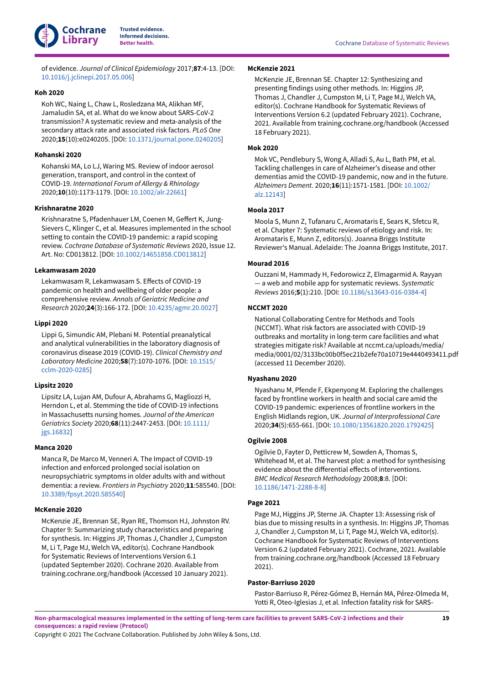

of evidence. *Journal of Clinical Epidemiology* 2017;**87**:4-13. [DOI: [10.1016/j.jclinepi.2017.05.006](https://doi.org/10.1016%2Fj.jclinepi.2017.05.006)]

#### <span id="page-20-3"></span>**Koh 2020**

Koh WC, Naing L, Chaw L, Rosledzana MA, Alikhan MF, Jamaludin SA, et al. What do we know about SARS-CoV-2 transmission? A systematic review and meta-analysis of the secondary attack rate and associated risk factors. *PLoS One* 2020;**15**(10):e0240205. [DOI: [10.1371/journal.pone.0240205\]](https://doi.org/10.1371%2Fjournal.pone.0240205)

#### <span id="page-20-4"></span>**Kohanski 2020**

Kohanski MA, Lo LJ, Waring MS. Review of indoor aerosol generation, transport, and control in the context of COVID-19. *International Forum of Allergy & Rhinology* 2020;**10**(10):1173-1179. [DOI: [10.1002/alr.22661\]](https://doi.org/10.1002%2Falr.22661)

## <span id="page-20-12"></span>**Krishnaratne 2020**

Krishnaratne S, Pfadenhauer LM, Coenen M, Geffert K, Jung-Sievers C, Klinger C, et al. Measures implemented in the school setting to contain the COVID-19 pandemic: a rapid scoping review. *Cochrane Database of Systematic Reviews* 2020, Issue 12. Art. No: CD013812. [DOI: [10.1002/14651858.CD013812\]](https://doi.org/10.1002%2F14651858.CD013812)

## <span id="page-20-8"></span>**Lekamwasam 2020**

Lekamwasam R, Lekamwasam S. Effects of COVID-19 pandemic on health and wellbeing of older people: a comprehensive review. *Annals of Geriatric Medicine and Research* 2020;**24**(3):166-172. [DOI: [10.4235/agmr.20.0027](https://doi.org/10.4235%2Fagmr.20.0027)]

## <span id="page-20-6"></span>**Lippi 2020**

Lippi G, Simundic AM, Plebani M. Potential preanalytical and analytical vulnerabilities in the laboratory diagnosis of coronavirus disease 2019 (COVID-19). *Clinical Chemistry and Laboratory Medicine* 2020;**58**(7):1070-1076. [DOI: [10.1515/](https://doi.org/10.1515%2Fcclm-2020-0285) [cclm-2020-0285](https://doi.org/10.1515%2Fcclm-2020-0285)]

#### <span id="page-20-7"></span>**Lipsitz 2020**

Lipsitz LA, Lujan AM, Dufour A, Abrahams G, Magliozzi H, Herndon L, et al. Stemming the tide of COVID-19 infections in Massachusetts nursing homes. *Journal of the American Geriatrics Society* 2020;**68**(11):2447-2453. [DOI: [10.1111/](https://doi.org/10.1111%2Fjgs.16832) [jgs.16832](https://doi.org/10.1111%2Fjgs.16832)]

#### <span id="page-20-0"></span>**Manca 2020**

Manca R, De Marco M, Venneri A. The Impact of COVID-19 infection and enforced prolonged social isolation on neuropsychiatric symptoms in older adults with and without dementia: a review. *Frontiers in Psychiatry* 2020;**11**:585540. [DOI: [10.3389/fpsyt.2020.585540](https://doi.org/10.3389%2Ffpsyt.2020.585540)]

#### <span id="page-20-15"></span>**McKenzie 2020**

McKenzie JE, Brennan SE, Ryan RE, Thomson HJ, Johnston RV. Chapter 9: Summarizing study characteristics and preparing for synthesis. In: Higgins JP, Thomas J, Chandler J, Cumpston M, Li T, Page MJ, Welch VA, editor(s). Cochrane Handbook for Systematic Reviews of Interventions Version 6.1 (updated September 2020). Cochrane 2020. Available from training.cochrane.org/handbook (Accessed 10 January 2021).

#### <span id="page-20-14"></span>**McKenzie 2021**

McKenzie JE, Brennan SE. Chapter 12: Synthesizing and presenting findings using other methods. In: Higgins JP, Thomas J, Chandler J, Cumpston M, Li T, Page MJ, Welch VA, editor(s). Cochrane Handbook for Systematic Reviews of Interventions Version 6.2 (updated February 2021). Cochrane, 2021. Available from training.cochrane.org/handbook (Accessed 18 February 2021).

#### <span id="page-20-1"></span>**Mok 2020**

Mok VC, Pendlebury S, Wong A, Alladi S, Au L, Bath PM, et al. Tackling challenges in care of Alzheimer's disease and other dementias amid the COVID-19 pandemic, now and in the future. *Alzheimers Dement.* 2020;**16**(11):1571-1581. [DOI: [10.1002/](https://doi.org/10.1002%2Falz.12143) [alz.12143](https://doi.org/10.1002%2Falz.12143)]

#### <span id="page-20-11"></span>**Moola 2017**

Moola S, Munn Z, Tufanaru C, Aromataris E, Sears K, Sfetcu R, et al. Chapter 7: Systematic reviews of etiology and risk. In: Aromataris E, Munn Z, editors(s). Joanna Briggs Institute Reviewer's Manual. Adelaide: The Joanna Briggs Institute, 2017.

## <span id="page-20-10"></span>**Mourad 2016**

Ouzzani M, Hammady H, Fedorowicz Z, Elmagarmid A. Rayyan — a web and mobile app for systematic reviews. *Systematic Reviews* 2016;**5**(1):210. [DOI: [10.1186/s13643-016-0384-4](https://doi.org/10.1186%2Fs13643-016-0384-4)]

#### <span id="page-20-9"></span>**NCCMT 2020**

National Collaborating Centre for Methods and Tools (NCCMT). What risk factors are associated with COVID-19 outbreaks and mortality in long-term care facilities and what strategies mitigate risk? Available at nccmt.ca/uploads/media/ media/0001/02/3133bc00b0f5ec21b2efe70a10719e4440493411.pdf (accessed 11 December 2020).

## <span id="page-20-5"></span>**Nyashanu 2020**

Nyashanu M, Pfende F, Ekpenyong M. Exploring the challenges faced by frontline workers in health and social care amid the COVID-19 pandemic: experiences of frontline workers in the English Midlands region, UK. *Journal of Interprofessional Care* 2020;**34**(5):655-661. [DOI: [10.1080/13561820.2020.1792425](https://doi.org/10.1080%2F13561820.2020.1792425)]

## <span id="page-20-16"></span>**Ogilvie 2008**

Ogilvie D, Fayter D, Petticrew M, Sowden A, Thomas S, Whitehead M, et al. The harvest plot: a method for synthesising evidence about the differential effects of interventions. *BMC Medical Research Methodology* 2008;**8**:8. [DOI: [10.1186/1471-2288-8-8\]](https://doi.org/10.1186%2F1471-2288-8-8)

#### <span id="page-20-13"></span>**Page 2021**

Page MJ, Higgins JP, Sterne JA. Chapter 13: Assessing risk of bias due to missing results in a synthesis. In: Higgins JP, Thomas J, Chandler J, Cumpston M, Li T, Page MJ, Welch VA, editor(s). Cochrane Handbook for Systematic Reviews of Interventions Version 6.2 (updated February 2021). Cochrane, 2021. Available from training.cochrane.org/handbook (Accessed 18 February 2021).

## <span id="page-20-2"></span>**Pastor-Barriuso 2020**

Pastor-Barriuso R, Pérez-Gómez B, Hernán MA, Pérez-Olmeda M, Yotti R, Oteo-Iglesias J, et al. Infection fatality risk for SARS-

Non-pharmacological measures implemented in the setting of long-term care facilities to prevent SARS-CoV-2 infections and their **consequences: a rapid review (Protocol)**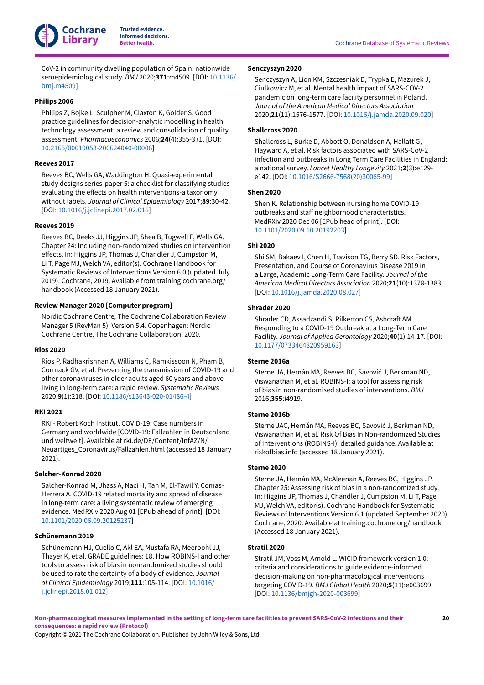

CoV-2 in community dwelling population of Spain: nationwide seroepidemiological study. *BMJ* 2020;**371**:m4509. [DOI: [10.1136/](https://doi.org/10.1136%2Fbmj.m4509) [bmj.m4509](https://doi.org/10.1136%2Fbmj.m4509)]

#### <span id="page-21-16"></span>**Philips 2006**

Philips Z, Bojke L, Sculpher M, Claxton K, Golder S. Good practice guidelines for decision-analytic modelling in health technology assessment: a review and consolidation of quality assessment. *Pharmacoeconomics* 2006;**24**(4):355-371. [DOI: [10.2165/00019053-200624040-00006](https://doi.org/10.2165%2F00019053-200624040-00006)]

#### <span id="page-21-8"></span>**Reeves 2017**

Reeves BC, Wells GA, Waddington H. Quasi-experimental study designs series-paper 5: a checklist for classifying studies evaluating the effects on health interventions-a taxonomy without labels. *Journal of Clinical Epidemiology* 2017;**89**:30-42. [DOI: [10.1016/j.jclinepi.2017.02.016](https://doi.org/10.1016%2Fj.jclinepi.2017.02.016)]

## <span id="page-21-13"></span>**Reeves 2019**

Reeves BC, Deeks JJ, Higgins JP, Shea B, Tugwell P, Wells GA. Chapter 24: Including non-randomized studies on intervention effects. In: Higgins JP, Thomas J, Chandler J, Cumpston M, Li T, Page MJ, Welch VA, editor(s). Cochrane Handbook for Systematic Reviews of Interventions Version 6.0 (updated July 2019). Cochrane, 2019. Available from training.cochrane.org/ handbook (Accessed 18 January 2021).

## <span id="page-21-14"></span>**Review Manager 2020 [Computer program]**

Nordic Cochrane Centre, The Cochrane Collaboration Review Manager 5 (RevMan 5). Version 5.4. Copenhagen: Nordic Cochrane Centre, The Cochrane Collaboration, 2020.

## <span id="page-21-2"></span>**Rios 2020**

Rios P, Radhakrishnan A, Williams C, Ramkissoon N, Pham B, Cormack GV, et al. Preventing the transmission of COVID-19 and other coronaviruses in older adults aged 60 years and above living in long-term care: a rapid review. *Systematic Reviews* 2020;**9**(1):218. [DOI: [10.1186/s13643-020-01486-4](https://doi.org/10.1186%2Fs13643-020-01486-4)]

#### <span id="page-21-1"></span>**RKI 2021**

RKI - Robert Koch Institut. COVID-19: Case numbers in Germany and worldwide [COVID-19: Fallzahlen in Deutschland und weltweit]. Available at rki.de/DE/Content/InfAZ/N/ Neuartiges\_Coronavirus/Fallzahlen.html (accessed 18 January 2021).

#### <span id="page-21-0"></span>**Salcher-Konrad 2020**

Salcher-Konrad M, Jhass A, Naci H, Tan M, El-Tawil Y, Comas-Herrera A. COVID-19 related mortality and spread of disease in long-term care: a living systematic review of emerging evidence. MedRXiv 2020 Aug 01 [EPub ahead of print]. [DOI: [10.1101/2020.06.09.20125237\]](https://doi.org/10.1101%2F2020.06.09.20125237)

#### <span id="page-21-15"></span>**Schünemann 2019**

Schünemann HJ, Cuello C, Akl EA, Mustafa RA, Meerpohl JJ, Thayer K, et al. GRADE guidelines: 18. How ROBINS-I and other tools to assess risk of bias in nonrandomized studies should be used to rate the certainty of a body of evidence. *Journal of Clinical Epidemiology* 2019;**111**:105-114. [DOI: [10.1016/](https://doi.org/10.1016%2Fj.jclinepi.2018.01.012) [j.jclinepi.2018.01.012](https://doi.org/10.1016%2Fj.jclinepi.2018.01.012)]

#### <span id="page-21-7"></span>**Senczyszyn 2020**

Senczyszyn A, Lion KM, Szczesniak D, Trypka E, Mazurek J, Ciulkowicz M, et al. Mental health impact of SARS-COV-2 pandemic on long-term care facility personnel in Poland. *Journal of the American Medical Directors Association* 2020;**21**(11):1576-1577. [DOI: [10.1016/j.jamda.2020.09.020](https://doi.org/10.1016%2Fj.jamda.2020.09.020)]

## <span id="page-21-4"></span>**Shallcross 2020**

Shallcross L, Burke D, Abbott O, Donaldson A, Hallatt G, Hayward A, et al. Risk factors associated with SARS-CoV-2 infection and outbreaks in Long Term Care Facilities in England: a national survey. *Lancet Healthy Longevity* 2021;**2**(3):e129 e142. [DOI: [10.1016/S2666-7568\(20\)30065-99\]](https://doi.org/10.1016%2FS2666-7568%2820%2930065-99)

#### <span id="page-21-5"></span>**Shen 2020**

Shen K. Relationship between nursing home COVID-19 outbreaks and staff neighborhood characteristics. MedRXiv 2020 Dec 06 [EPub head of print]. [DOI: [10.1101/2020.09.10.20192203\]](https://doi.org/10.1101%2F2020.09.10.20192203)

#### <span id="page-21-6"></span>**Shi 2020**

Shi SM, Bakaev I, Chen H, Travison TG, Berry SD. Risk Factors, Presentation, and Course of Coronavirus Disease 2019 in a Large, Academic Long-Term Care Facility. *Journal of the American Medical Directors Association* 2020;**21**(10):1378-1383. [DOI: [10.1016/j.jamda.2020.08.027\]](https://doi.org/10.1016%2Fj.jamda.2020.08.027)

#### <span id="page-21-3"></span>**Shrader 2020**

Shrader CD, Assadzandi S, Pilkerton CS, Ashcraft AM. Responding to a COVID-19 Outbreak at a Long-Term Care Facility. *Journal of Applied Gerontology* 2020;**40**(1):14-17. [DOI: [10.1177/0733464820959163](https://doi.org/10.1177%2F0733464820959163)]

## <span id="page-21-10"></span>**Sterne 2016a**

Sterne JA, Hernán MA, Reeves BC, Savović J, Berkman ND, Viswanathan M, et al. ROBINS-I: a tool for assessing risk of bias in non-randomised studies of interventions. *BMJ* 2016;**355**:i4919.

### <span id="page-21-12"></span>**Sterne 2016b**

Sterne JAC, Hernán MA, Reeves BC, Savović J, Berkman ND, Viswanathan M, et al. Risk Of Bias In Non-randomized Studies of Interventions (ROBINS-I): detailed guidance. Available at riskofbias.info (accessed 18 January 2021).

#### <span id="page-21-11"></span>**Sterne 2020**

Sterne JA, Hernán MA, McAleenan A, Reeves BC, Higgins JP. Chapter 25: Assessing risk of bias in a non-randomized study. In: Higgins JP, Thomas J, Chandler J, Cumpston M, Li T, Page MJ, Welch VA, editor(s). Cochrane Handbook for Systematic Reviews of Interventions Version 6.1 (updated September 2020). Cochrane, 2020. Available at training.cochrane.org/handbook (Accessed 18 January 2021).

## <span id="page-21-9"></span>**Stratil 2020**

Stratil JM, Voss M, Arnold L. WICID framework version 1.0: criteria and considerations to guide evidence-informed decision-making on non-pharmacological interventions targeting COVID-19. *BMJ Global Health* 2020;**5**(11):e003699. [DOI: [10.1136/bmjgh-2020-003699\]](https://doi.org/10.1136%2Fbmjgh-2020-003699)

Non-pharmacological measures implemented in the setting of long-term care facilities to prevent SARS-CoV-2 infections and their **consequences: a rapid review (Protocol)**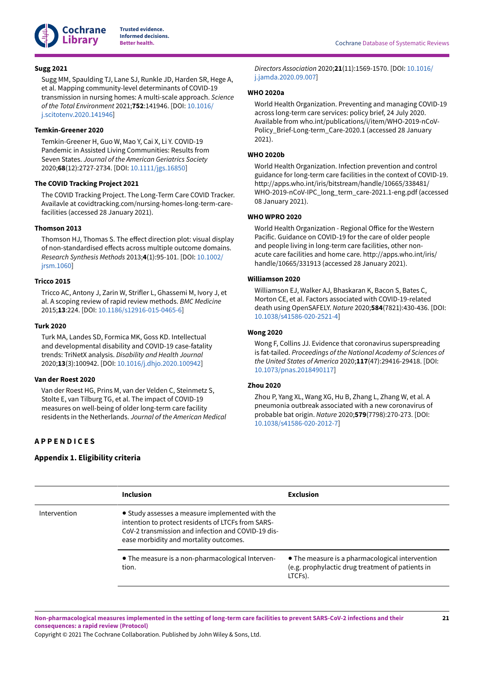

## <span id="page-22-10"></span>**Sugg 2021**

Sugg MM, Spaulding TJ, Lane SJ, Runkle JD, Harden SR, Hege A, et al. Mapping community-level determinants of COVID-19 transmission in nursing homes: A multi-scale approach. *Science of the Total Environment* 2021;**752**:141946. [DOI: [10.1016/](https://doi.org/10.1016%2Fj.scitotenv.2020.141946) [j.scitotenv.2020.141946\]](https://doi.org/10.1016%2Fj.scitotenv.2020.141946)

## <span id="page-22-9"></span>**Temkin-Greener 2020**

Temkin-Greener H, Guo W, Mao Y, Cai X, Li Y. COVID-19 Pandemic in Assisted Living Communities: Results from Seven States. *Journal of the American Geriatrics Society* 2020;**68**(12):2727-2734. [DOI: [10.1111/jgs.16850\]](https://doi.org/10.1111%2Fjgs.16850)

## <span id="page-22-6"></span>**The COVID Tracking Project 2021**

The COVID Tracking Project. The Long-Term Care COVID Tracker. Availavle at covidtracking.com/nursing-homes-long-term-carefacilities (accessed 28 January 2021).

## <span id="page-22-14"></span>**Thomson 2013**

Thomson HJ, Thomas S. The effect direction plot: visual display of non-standardised effects across multiple outcome domains. *Research Synthesis Methods* 2013;**4**(1):95-101. [DOI: [10.1002/](https://doi.org/10.1002%2Fjrsm.1060) [jrsm.1060\]](https://doi.org/10.1002%2Fjrsm.1060)

## <span id="page-22-12"></span>**Tricco 2015**

Tricco AC, Antony J, Zarin W, Strifler L, Ghassemi M, Ivory J, et al. A scoping review of rapid review methods. *BMC Medicine* 2015;**13**:224. [DOI: [10.1186/s12916-015-0465-6\]](https://doi.org/10.1186%2Fs12916-015-0465-6)

## <span id="page-22-4"></span>**Turk 2020**

Turk MA, Landes SD, Formica MK, Goss KD. Intellectual and developmental disability and COVID-19 case-fatality trends: TriNetX analysis. *Disability and Health Journal* 2020;**13**(3):100942. [DOI: [10.1016/j.dhjo.2020.100942](https://doi.org/10.1016%2Fj.dhjo.2020.100942)]

## <span id="page-22-11"></span>**Van der Roest 2020**

Van der Roest HG, Prins M, van der Velden C, Steinmetz S, Stolte E, van Tilburg TG, et al. The impact of COVID-19 measures on well-being of older long-term care facility residents in the Netherlands. *Journal of the American Medical*

# <span id="page-22-0"></span>**A P P E N D I C E S**

## <span id="page-22-13"></span>**Appendix 1. Eligibility criteria**

*Directors Association* 2020;**21**(11):1569-1570. [DOI: [10.1016/](https://doi.org/10.1016%2Fj.jamda.2020.09.007) [j.jamda.2020.09.007\]](https://doi.org/10.1016%2Fj.jamda.2020.09.007)

## <span id="page-22-2"></span>**WHO 2020a**

World Health Organization. Preventing and managing COVID-19 across long-term care services: policy brief, 24 July 2020. Available from who.int/publications/i/item/WHO-2019-nCoV-Policy\_Brief-Long-term\_Care-2020.1 (accessed 28 January 2021).

## <span id="page-22-7"></span>**WHO 2020b**

World Health Organization. Infection prevention and control guidance for long-term care facilities in the context of COVID-19. http://apps.who.int/iris/bitstream/handle/10665/338481/ WHO-2019-nCoV-IPC\_long\_term\_care-2021.1-eng.pdf (accessed 08 January 2021).

#### <span id="page-22-8"></span>**WHO WPRO 2020**

World Health Organization - Regional Office for the Western Pacific. Guidance on COVID-19 for the care of older people and people living in long-term care facilities, other nonacute care facilities and home care. http://apps.who.int/iris/ handle/10665/331913 (accessed 28 January 2021).

## <span id="page-22-3"></span>**Williamson 2020**

Williamson EJ, Walker AJ, Bhaskaran K, Bacon S, Bates C, Morton CE, et al. Factors associated with COVID-19-related death using OpenSAFELY. *Nature* 2020;**584**(7821):430-436. [DOI: [10.1038/s41586-020-2521-4\]](https://doi.org/10.1038%2Fs41586-020-2521-4)

#### <span id="page-22-5"></span>**Wong 2020**

Wong F, Collins JJ. Evidence that coronavirus superspreading is fat-tailed. *Proceedings of the National Academy of Sciences of the United States of America* 2020;**117**(47):29416-29418. [DOI: [10.1073/pnas.2018490117\]](https://doi.org/10.1073%2Fpnas.2018490117)

## <span id="page-22-1"></span>**Zhou 2020**

Zhou P, Yang XL, Wang XG, Hu B, Zhang L, Zhang W, et al. A pneumonia outbreak associated with a new coronavirus of probable bat origin. *Nature* 2020;**579**(7798):270-273. [DOI: [10.1038/s41586-020-2012-7\]](https://doi.org/10.1038%2Fs41586-020-2012-7)

|              | <b>Inclusion</b>                                                                                                                                                                                      | <b>Exclusion</b>                                                                                               |
|--------------|-------------------------------------------------------------------------------------------------------------------------------------------------------------------------------------------------------|----------------------------------------------------------------------------------------------------------------|
| Intervention | • Study assesses a measure implemented with the<br>intention to protect residents of LTCFs from SARS-<br>CoV-2 transmission and infection and COVID-19 dis-<br>ease morbidity and mortality outcomes. |                                                                                                                |
|              | • The measure is a non-pharmacological Interven-<br>tion.                                                                                                                                             | • The measure is a pharmacological intervention<br>(e.g. prophylactic drug treatment of patients in<br>LTCFs). |

Non-pharmacological measures implemented in the setting of long-term care facilities to prevent SARS-CoV-2 infections and their **consequences: a rapid review (Protocol)**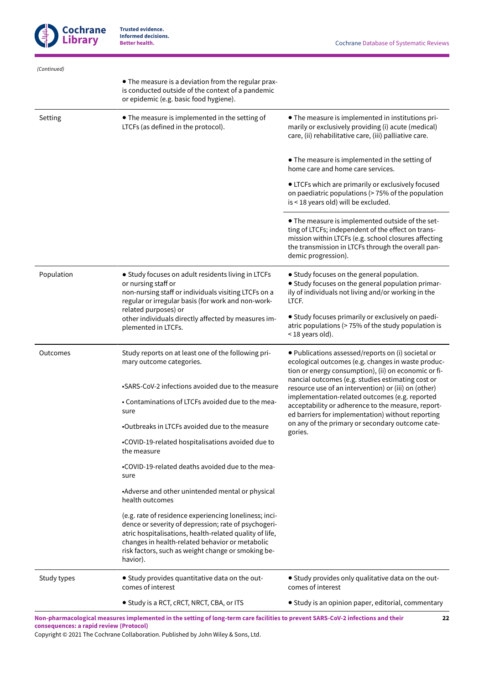

**22**

| (Continued) |                                                                                                                                                                                                                                                                                                |                                                                                                                                                                                                                                             |  |  |
|-------------|------------------------------------------------------------------------------------------------------------------------------------------------------------------------------------------------------------------------------------------------------------------------------------------------|---------------------------------------------------------------------------------------------------------------------------------------------------------------------------------------------------------------------------------------------|--|--|
|             | • The measure is a deviation from the regular prax-<br>is conducted outside of the context of a pandemic<br>or epidemic (e.g. basic food hygiene).                                                                                                                                             |                                                                                                                                                                                                                                             |  |  |
| Setting     | • The measure is implemented in the setting of<br>LTCFs (as defined in the protocol).                                                                                                                                                                                                          | • The measure is implemented in institutions pri-<br>marily or exclusively providing (i) acute (medical)<br>care, (ii) rehabilitative care, (iii) palliative care.                                                                          |  |  |
|             |                                                                                                                                                                                                                                                                                                | • The measure is implemented in the setting of<br>home care and home care services.                                                                                                                                                         |  |  |
|             |                                                                                                                                                                                                                                                                                                | • LTCFs which are primarily or exclusively focused<br>on paediatric populations (> 75% of the population<br>is < 18 years old) will be excluded.                                                                                            |  |  |
|             |                                                                                                                                                                                                                                                                                                | . The measure is implemented outside of the set-<br>ting of LTCFs; independent of the effect on trans-<br>mission within LTCFs (e.g. school closures affecting<br>the transmission in LTCFs through the overall pan-<br>demic progression). |  |  |
| Population  | • Study focuses on adult residents living in LTCFs<br>or nursing staff or<br>non-nursing staff or individuals visiting LTCFs on a<br>regular or irregular basis (for work and non-work-<br>related purposes) or                                                                                | • Study focuses on the general population.<br>• Study focuses on the general population primar-<br>ily of individuals not living and/or working in the<br>LTCF.                                                                             |  |  |
|             | other individuals directly affected by measures im-<br>plemented in LTCFs.                                                                                                                                                                                                                     | • Study focuses primarily or exclusively on paedi-<br>atric populations (> 75% of the study population is<br>< 18 years old).                                                                                                               |  |  |
| Outcomes    | Study reports on at least one of the following pri-<br>mary outcome categories.                                                                                                                                                                                                                | · Publications assessed/reports on (i) societal or<br>ecological outcomes (e.g. changes in waste produc-<br>tion or energy consumption), (ii) on economic or fi-                                                                            |  |  |
|             | •SARS-CoV-2 infections avoided due to the measure                                                                                                                                                                                                                                              | nancial outcomes (e.g. studies estimating cost or<br>resource use of an intervention) or (iii) on (other)                                                                                                                                   |  |  |
|             | • Contaminations of LTCFs avoided due to the mea-<br>sure                                                                                                                                                                                                                                      | implementation-related outcomes (e.g. reported<br>acceptability or adherence to the measure, report-<br>ed barriers for implementation) without reporting                                                                                   |  |  |
|             | .Outbreaks in LTCFs avoided due to the measure                                                                                                                                                                                                                                                 | on any of the primary or secondary outcome cate-<br>gories.                                                                                                                                                                                 |  |  |
|             | •COVID-19-related hospitalisations avoided due to<br>the measure                                                                                                                                                                                                                               |                                                                                                                                                                                                                                             |  |  |
|             | •COVID-19-related deaths avoided due to the mea-<br>sure                                                                                                                                                                                                                                       |                                                                                                                                                                                                                                             |  |  |
|             | •Adverse and other unintended mental or physical<br>health outcomes                                                                                                                                                                                                                            |                                                                                                                                                                                                                                             |  |  |
|             | (e.g. rate of residence experiencing loneliness; inci-<br>dence or severity of depression; rate of psychogeri-<br>atric hospitalisations, health-related quality of life,<br>changes in health-related behavior or metabolic<br>risk factors, such as weight change or smoking be-<br>havior). |                                                                                                                                                                                                                                             |  |  |
| Study types | • Study provides quantitative data on the out-<br>comes of interest                                                                                                                                                                                                                            | • Study provides only qualitative data on the out-<br>comes of interest                                                                                                                                                                     |  |  |
|             | • Study is a RCT, cRCT, NRCT, CBA, or ITS                                                                                                                                                                                                                                                      | • Study is an opinion paper, editorial, commentary                                                                                                                                                                                          |  |  |

Non-pharmacological measures implemented in the setting of long-term care facilities to prevent SARS-CoV-2 infections and their **consequences: a rapid review (Protocol)**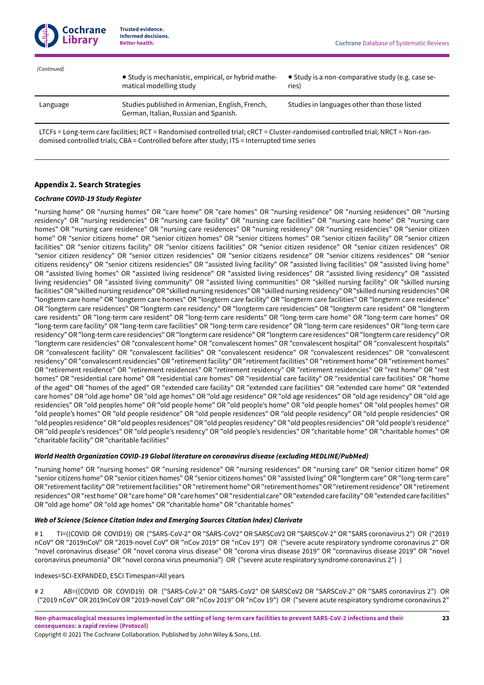

● Study is mechanistic, empirical, or hybrid mathematical modelling study ● Study is a non-comparative study (e.g. case series) Language Studies published in Armenian, English, French, German, Italian, Russian and Spanish. Studies in languages other than those listed LTCFs = Long-term care facilities; RCT = Randomised controlled trial; cRCT = Cluster-randomised controlled trial; NRCT = Non-ran- *(Continued)*

domised controlled trials; CBA = Controlled before after study; ITS = Interrupted time series

## <span id="page-24-0"></span>**Appendix 2.Search Strategies**

## *Cochrane COVID-19 Study Register*

"nursing home" OR "nursing homes" OR "care home" OR "care homes" OR "nursing residence" OR "nursing residences" OR "nursing residency" OR "nursing residencies" OR "nursing care facility" OR "nursing care facilities" OR "nursing care home" OR "nursing care homes" OR "nursing care residence" OR "nursing care residences" OR "nursing residency" OR "nursing residencies" OR "senior citizen home" OR "senior citizens home" OR "senior citizen homes" OR "senior citizens homes" OR "senior citizen facility" OR "senior citizen facilities" OR "senior citizens facility" OR "senior citizens facilities" OR "senior citizen residence" OR "senior citizen residences" OR "senior citizen residency" OR "senior citizen residencies" OR "senior citizens residence" OR "senior citizens residences" OR "senior citizens residency" OR "senior citizens residencies" OR "assisted living facility" OR "assisted living facilities" OR "assisted living home" OR "assisted living homes" OR "assisted living residence" OR "assisted living residences" OR "assisted living residency" OR "assisted living residencies" OR "assisted living community" OR "assisted living communities" OR "skilled nursing facility" OR "skilled nursing facilities" OR "skilled nursing residence" OR "skilled nursing residences" OR "skilled nursing residency" OR "skilled nursing residencies" OR "longterm care home" OR "longterm care homes" OR "longterm care facility" OR "longterm care facilities" OR "longterm care residence" OR "longterm care residences" OR "longterm care residency" OR "longterm care residencies" OR "longterm care resident" OR "longterm care residents" OR "long-term care resident" OR "long-term care residents" OR "long-term care home" OR "long-term care homes" OR "long-term care facility" OR "long-term care facilities" OR "long-term care residence" OR "long-term care residences" OR "long-term care residency"OR "long-term care residencies"OR "longterm care residence"OR "longterm care residences"OR "longterm care residency"OR "longterm care residencies" OR "convalescent home" OR "convalescent homes" OR "convalescent hospital" OR "convalescent hospitals" OR "convalescent facility" OR "convalescent facilities" OR "convalescent residence" OR "convalescent residences" OR "convalescent residency" OR "convalescent residencies" OR "retirement facility" OR "retirement facilities" OR "retirement home" OR "retirement homes" OR "retirement residence" OR "retirement residences" OR "retirement residency" OR "retirement residencies" OR "rest home" OR "rest homes" OR "residential care home" OR "residential care homes" OR "residential care facility" OR "residential care facilities" OR "home of the aged" OR "homes of the aged" OR "extended care facility" OR "extended care facilities" OR "extended care home" OR "extended care homes" OR "old age home" OR "old age homes" OR "old age residence" OR "old age residences" OR "old age residency" OR "old age residencies" OR "old peoples home" OR "old people home" OR "old people's home" OR "old people homes" OR "old peoples homes" OR "old people's homes" OR "old people residence" OR "old people residences" OR "old people residency" OR "old people residencies" OR "old peoples residence"OR "old peoples residences"OR "old peoples residency"OR "old peoples residencies"OR "old people's residence" OR "old people's residences" OR "old people's residency" OR "old people's residencies" OR "charitable home" OR "charitable homes" OR "charitable facility" OR "charitable facilities"

## *World Health Organization COVID-19 Global literature on coronavirus disease (excluding MEDLINE/PubMed)*

"nursing home" OR "nursing homes" OR "nursing residence" OR "nursing residences" OR "nursing care" OR "senior citizen home" OR "senior citizens home" OR "senior citizen homes" OR "senior citizens homes" OR "assisted living" OR "longterm care" OR "long-term care" OR "retirement facility" OR "retirement facilities" OR "retirement home" OR "retirement homes" OR "retirement residence" OR "retirement residences"OR"rest home"OR"care home"OR"care homes"OR"residential care"OR"extended care facility"OR"extended care facilities" OR "old age home" OR "old age homes" OR "charitable home" OR "charitable homes"

## *Web of Science (Science Citation Index and Emerging Sources Citation Index) Clarivate*

# 1 TI=((COVID OR COVID19) OR ("SARS-CoV-2" OR "SARS-CoV2" OR SARSCoV2 OR "SARSCoV-2" OR "SARS coronavirus 2") OR ("2019 nCoV" OR "2019nCoV" OR "2019-novel CoV" OR "nCov 2019" OR "nCov 19") OR ("severe acute respiratory syndrome coronavirus 2" OR "novel coronavirus disease" OR "novel corona virus disease" OR "corona virus disease 2019" OR "coronavirus disease 2019" OR "novel coronavirus pneumonia" OR "novel corona virus pneumonia") OR ("severe acute respiratory syndrome coronavirus 2") )

## Indexes=SCI-EXPANDED, ESCI Timespan=All years

# 2 AB=((COVID OR COVID19) OR ("SARS-CoV-2" OR "SARS-CoV2" OR SARSCoV2 OR "SARSCoV-2" OR "SARS coronavirus 2") OR ("2019 nCoV" OR 2019nCoV OR "2019-novel CoV" OR "nCov 2019" OR "nCov 19") OR ("severe acute respiratory syndrome coronavirus 2"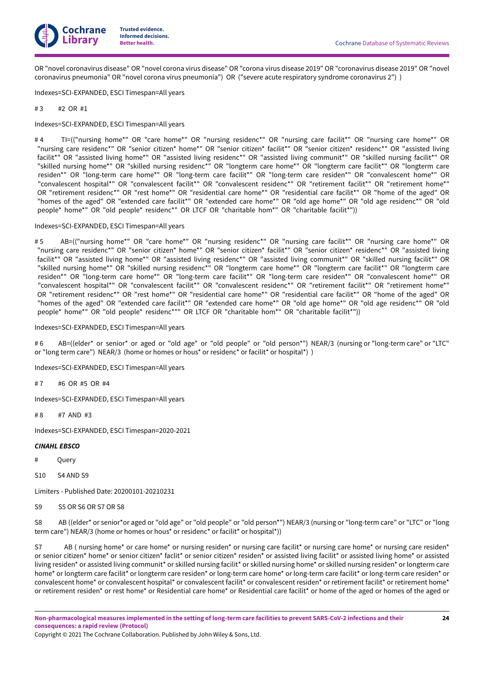

OR "novel coronavirus disease" OR "novel corona virus disease" OR "corona virus disease 2019" OR "coronavirus disease 2019" OR "novel coronavirus pneumonia" OR "novel corona virus pneumonia") OR ("severe acute respiratory syndrome coronavirus 2") )

Indexes=SCI-EXPANDED, ESCI Timespan=All years

 $# 3 + 2$  OR  $#1$ 

Indexes=SCI-EXPANDED, ESCI Timespan=All years

#4 TI=(("nursing home\*" OR "care home\*" OR "nursing residenc\*" OR "nursing care facilit\*" OR "nursing care home\*" OR "nursing care residenc\*" OR "senior citizen\* home\*" OR "senior citizen\* facilit\*" OR "senior citizen\* residenc\*" OR "assisted living facilit\*" OR "assisted living home\*" OR "assisted living residenc\*" OR "assisted living communit\*" OR "skilled nursing facilit\*" OR "skilled nursing home\*" OR "skilled nursing residenc\*" OR "longterm care home\*" OR "longterm care facilit\*" OR "longterm care residen\*" OR "long-term care home\*" OR "long-term care facilit\*" OR "long-term care residen\*" OR "convalescent home\*" OR "convalescent hospital\*" OR "convalescent facilit\*" OR "convalescent residenc\*" OR "retirement facilit\*" OR "retirement home\*" OR "retirement residenc\*" OR "rest home\*" OR "residential care home\*" OR "residential care facilit\*" OR "home of the aged" OR "homes of the aged" OR "extended care facilit\*" OR "extended care home\*" OR "old age home\*" OR "old age residenc\*" OR "old people\* home\*" OR "old people\* residenc\*" OR LTCF OR "charitable hom\*" OR "charitable facilit\*"))

#### Indexes=SCI-EXPANDED, ESCI Timespan=All years

# 5 AB=(("nursing home\*" OR "care home\*" OR "nursing residenc\*" OR "nursing care facilit\*" OR "nursing care home\*" OR "nursing care residenc\*" OR "senior citizen\* home\*" OR "senior citizen\* facilit\*" OR "senior citizen\* residenc\*" OR "assisted living facilit\*" OR "assisted living home\*" OR "assisted living residenc\*" OR "assisted living communit\*" OR "skilled nursing facilit\*" OR "skilled nursing home\*" OR "skilled nursing residenc\*" OR "longterm care home\*" OR "longterm care facilit\*" OR "longterm care residen\*" OR "long-term care home\*" OR "long-term care facilit\*" OR "long-term care residen\*" OR "convalescent home\*" OR "convalescent hospital\*" OR "convalescent facilit\*" OR "convalescent residenc\*" OR "retirement facilit\*" OR "retirement home\*" OR "retirement residenc\*" OR "rest home\*" OR "residential care home\*" OR "residential care facilit\*" OR "home of the aged" OR "homes of the aged" OR "extended care facilit\*" OR "extended care home\*" OR "old age home\*" OR "old age residenc\*" OR "old people\* home\*" OR "old people\* residenc\*"" OR LTCF OR "charitable hom\*" OR "charitable facilit\*"))

#### Indexes=SCI-EXPANDED, ESCI Timespan=All years

#6 AB=((elder\* or senior\* or aged or "old age" or "old people" or "old person\*") NEAR/3 (nursing or "long-term care" or "LTC" or "long term care") NEAR/3 (home or homes or hous\* or residenc\* or facilit\* or hospital\*) )

Indexes=SCI-EXPANDED, ESCI Timespan=All years

#7 #6 OR #5 OR #4

Indexes=SCI-EXPANDED, ESCI Timespan=All years

 $#8$   $#7$  AND  $#3$ 

Indexes=SCI-EXPANDED, ESCI Timespan=2020-2021

#### *CINAHL EBSCO*

# Query

S10 S4 AND S9

Limiters - Published Date: 20200101-20210231

S9 S5 OR S6 OR S7 OR S8

S8 AB ((elder\* or senior\*or aged or "old age" or "old people" or "old person\*") NEAR/3 (nursing or "long-term care" or "LTC" or "long term care") NEAR/3 (home or homes or hous\* or residenc\* or facilit\* or hospital\*))

S7 AB ( nursing home\* or care home\* or nursing residen\* or nursing care facilit\* or nursing care home\* or nursing care residen\* or senior citizen\* home\* or senior citizen\* faclit\* or senior citizen\* residen\* or assisted living facilit\* or assisted living home\* or assisted living residen\* or assisted living communit\* or skilled nursing facilit\* or skilled nursing home\* or skilled nursing residen\* or longterm care home\* or longterm care facilit\* or longterm care residen\* or long-term care home\* or long-term care facilit\* or long-term care residen\* or convalescent home\* or convalescent hospital\* or convalescent facilit\* or convalescent residen\* or retirement facilit\* or retirement home\* or retirement residen\* or rest home\* or Residential care home\* or Residential care facilit\* or home of the aged or homes of the aged or

Copyright © 2021 The Cochrane Collaboration. Published by John Wiley & Sons, Ltd.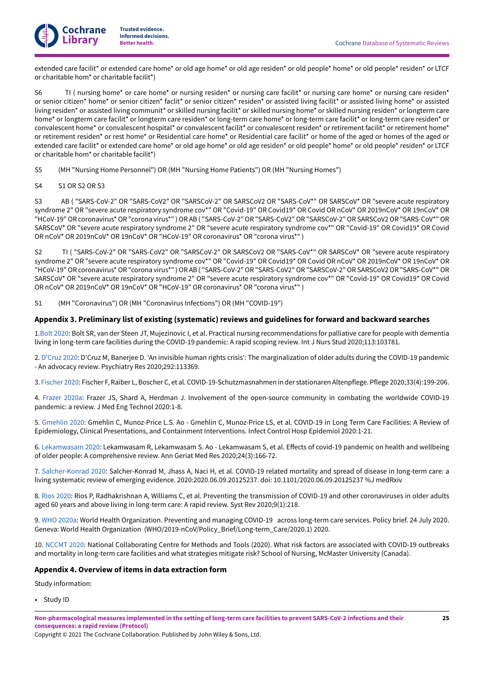

extended care facilit\* or extended care home\* or old age home\* or old age residen\* or old people\* home\* or old people\* residen\* or LTCF or charitable hom\* or charitable facilit\*)

S6 TI ( nursing home\* or care home\* or nursing residen\* or nursing care facilit\* or nursing care home\* or nursing care residen\* or senior citizen\* home\* or senior citizen\* faclit\* or senior citizen\* residen\* or assisted living facilit\* or assisted living home\* or assisted living residen\* or assisted living communit\* or skilled nursing facilit\* or skilled nursing home\* or skilled nursing residen\* or longterm care home\* or longterm care facilit\* or longterm care residen\* or long-term care home\* or long-term care facilit\* or long-term care residen\* or convalescent home\* or convalescent hospital\* or convalescent facilit\* or convalescent residen\* or retirement facilit\* or retirement home\* or retirement residen\* or rest home\* or Residential care home\* or Residential care facilit\* or home of the aged or homes of the aged or extended care facilit\* or extended care home\* or old age home\* or old age residen\* or old people\* home\* or old people\* residen\* or LTCF or charitable hom\* or charitable facilit\*)

S5 (MH "Nursing Home Personnel") OR (MH "Nursing Home Patients") OR (MH "Nursing Homes")

S4 S1 OR S2 OR S3

S3 AB ( "SARS-CoV-2" OR "SARS-CoV2" OR "SARSCoV-2" OR SARSCoV2 OR "SARS-CoV\*" OR SARSCoV\* OR "severe acute respiratory syndrome 2" OR "severe acute respiratory syndrome cov\*" OR "Covid-19" OR Covid19\* OR Covid OR nCoV\* OR 2019nCoV\* OR 19nCoV\* OR "HCoV-19" OR coronavirus\* OR "corona virus\*") OR AB ("SARS-CoV-2" OR "SARS-CoV2" OR "SARSCoV-2" OR SARSCoV2 OR "SARS-CoV\*" OR SARSCoV\* OR "severe acute respiratory syndrome 2" OR "severe acute respiratory syndrome cov\*" OR "Covid-19" OR Covid19\* OR Covid OR nCoV\* OR 2019nCoV\* OR 19nCoV\* OR "HCoV-19" OR coronavirus\* OR "corona virus\*" )

S2 TI ( "SARS-CoV-2" OR "SARS-CoV2" OR "SARSCoV-2" OR SARSCoV2 OR "SARS-CoV\*" OR SARSCoV\* OR "severe acute respiratory syndrome 2" OR "severe acute respiratory syndrome cov\*" OR "Covid-19" OR Covid19\* OR Covid OR nCoV\* OR 2019nCoV\* OR 19nCoV\* OR "HCoV-19" OR coronavirus\* OR "corona virus\*" ) OR AB ("SARS-CoV-2" OR "SARS-CoV2" OR "SARSCoV-2" OR SARSCoV2 OR "SARS-CoV\*" OR SARSCoV\* OR "severe acute respiratory syndrome 2" OR "severe acute respiratory syndrome cov\*" OR "Covid-19" OR Covid19\* OR Covid OR nCoV\* OR 2019nCoV\* OR 19nCoV\* OR "HCoV-19" OR coronavirus\* OR "corona virus\*" )

S1 (MH "Coronavirus") OR (MH "Coronavirus Infections") OR (MH "COVID-19")

## <span id="page-26-0"></span>**Appendix 3. Preliminary list of existing (systematic) reviews and guidelines for forward and backward searches**

1[.Bolt 2020](#page-18-13): Bolt SR, van der Steen JT, Mujezinovic I, et al. Practical nursing recommendations for palliative care for people with dementia living in long-term care facilities during the COVID-19 pandemic: A rapid scoping review. Int J Nurs Stud 2020;113:103781.

2. [D'Cruz 2020](#page-18-9): D'Cruz M, Banerjee D. 'An invisible human rights crisis': The marginalization of older adults during the COVID-19 pandemic - An advocacy review. Psychiatry Res 2020;292:113369.

3. [Fischer 2020:](#page-19-2) Fischer F, Raiber L, Boscher C, et al. COVID-19-Schutzmasnahmen in der stationaren Altenpflege. Pflege 2020;33(4):199-206.

4. [Frazer](#page-19-3) 2020a: Frazer JS, Shard A, Herdman J. Involvement of the open-source community in combating the worldwide COVID-19 pandemic: a review. J Med Eng Technol 2020:1-8.

5. [Gmehlin 2020:](#page-19-4) Gmehlin C, Munoz-Price L.S. Ao - Gmehlin C, Munoz-Price LS, et al. COVID-19 in Long Term Care Facilities: A Review of Epidemiology, Clinical Presentations, and Containment Interventions. Infect Control Hosp Epidemiol 2020:1-21.

6. [Lekamwasam](#page-20-8) 2020: Lekamwasam R, Lekamwasam S. Ao - Lekamwasam S, et al. Effects of covid-19 pandemic on health and wellbeing of older people: A comprehensive review. Ann Geriat Med Res 2020;24(3):166-72.

7. [Salcher-Konrad](#page-21-0) 2020: Salcher-Konrad M, Jhass A, Naci H, et al. COVID-19 related mortality and spread of disease in long-term care: a living systematic review of emerging evidence. 2020:2020.06.09.20125237. doi: 10.1101/2020.06.09.20125237 %J medRxiv

8. [Rios 2020](#page-21-2): Rios P, Radhakrishnan A, Williams C, et al. Preventing the transmission of COVID-19 and other coronaviruses in older adults aged 60 years and above living in long-term care: A rapid review. Syst Rev 2020;9(1):218.

9. [WHO 2020a](#page-22-2): World Health Organization. Preventing and managing COVID-19 across long-term care services. Policy brief. 24 July 2020. Geneva: World Health Organization (WHO/2019-nCoV/Policy\_Brief/Long-term\_Care/2020.1) 2020.

10. [NCCMT](#page-20-9) 2020: National Collaborating Centre for Methods and Tools (2020). What risk factors are associated with COVID-19 outbreaks and mortality in long-term care facilities and what strategies mitigate risk? School of Nursing, McMaster University (Canada).

## <span id="page-26-1"></span>**Appendix 4. Overview of items in data extraction form**

Study information:

• Study ID

Non-pharmacological measures implemented in the setting of long-term care facilities to prevent SARS-CoV-2 infections and their **consequences: a rapid review (Protocol)**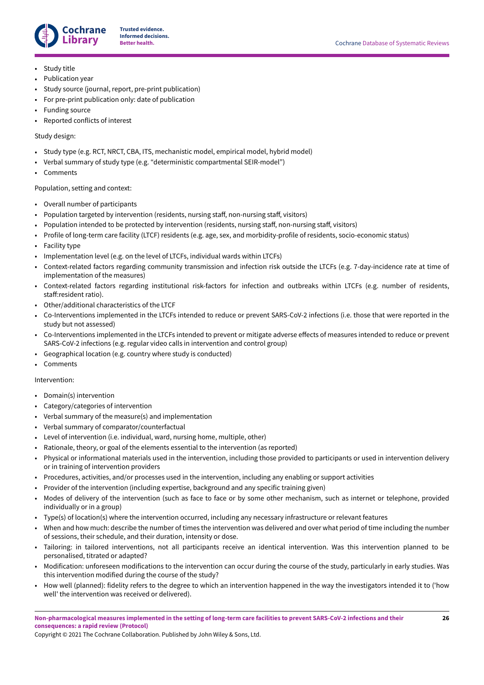

- Study title
- Publication year
- Study source (journal, report, pre-print publication)
- For pre-print publication only: date of publication
- Funding source
- Reported conflicts of interest

## Study design:

- Study type (e.g. RCT, NRCT, CBA, ITS, mechanistic model, empirical model, hybrid model)
- Verbal summary of study type (e.g. "deterministic compartmental SEIR-model")
- **Comments**

#### Population, setting and context:

- Overall number of participants
- Population targeted by intervention (residents, nursing staff, non-nursing staff, visitors)
- Population intended to be protected by intervention (residents, nursing staff, non-nursing staff, visitors)
- Profile of long-term care facility (LTCF) residents (e.g. age, sex, and morbidity-profile of residents, socio-economic status)
- Facility type
- Implementation level (e.g. on the level of LTCFs, individual wards within LTCFs)
- Context-related factors regarding community transmission and infection risk outside the LTCFs (e.g. 7-day-incidence rate at time of implementation of the measures)
- Context-related factors regarding institutional risk-factors for infection and outbreaks within LTCFs (e.g. number of residents, staff:resident ratio).
- Other/additional characteristics of the LTCF
- Co-Interventions implemented in the LTCFs intended to reduce or prevent SARS-CoV-2 infections (i.e. those that were reported in the study but not assessed)
- Co-Interventions implemented in the LTCFs intended to prevent or mitigate adverse effects of measures intended to reduce or prevent SARS-CoV-2 infections (e.g. regular video calls in intervention and control group)
- Geographical location (e.g. country where study is conducted)
- **Comments**

#### Intervention:

- Domain(s) intervention
- Category/categories of intervention
- Verbal summary of the measure(s) and implementation
- Verbal summary of comparator/counterfactual
- Level of intervention (i.e. individual, ward, nursing home, multiple, other)
- Rationale, theory, or goal of the elements essential to the intervention (as reported)
- Physical or informational materials used in the intervention, including those provided to participants or used in intervention delivery or in training of intervention providers
- Procedures, activities, and/or processes used in the intervention, including any enabling or support activities
- Provider of the intervention (including expertise, background and any specific training given)
- Modes of delivery of the intervention (such as face to face or by some other mechanism, such as internet or telephone, provided individually or in a group)
- Type(s) of location(s) where the intervention occurred, including any necessary infrastructure or relevant features
- When and how much: describe the number of times the intervention was delivered and over what period of time including the number of sessions, their schedule, and their duration, intensity or dose.
- Tailoring: in tailored interventions, not all participants receive an identical intervention. Was this intervention planned to be personalised, titrated or adapted?
- Modification: unforeseen modifications to the intervention can occur during the course of the study, particularly in early studies. Was this intervention modified during the course of the study?
- How well (planned): fidelity refers to the degree to which an intervention happened in the way the investigators intended it to ('how well' the intervention was received or delivered).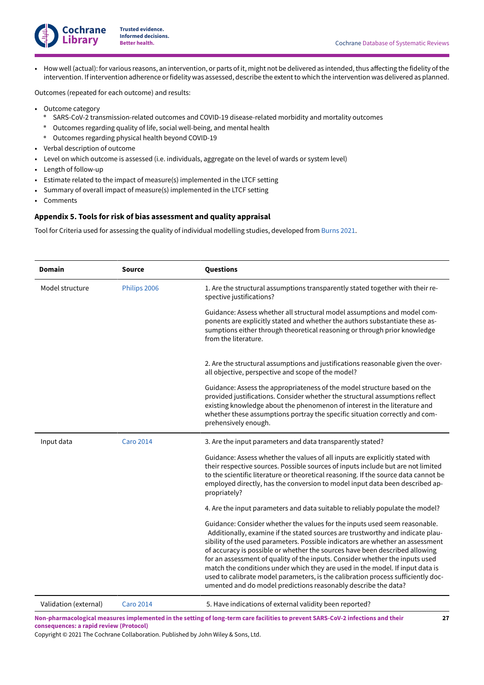

• How well (actual): for various reasons, an intervention, or parts of it, might not be delivered as intended, thus affecting the fidelity of the intervention. If intervention adherence orfidelity was assessed, describe the extentto which the intervention was delivered as planned.

Outcomes (repeated for each outcome) and results:

- Outcome category
	- \* SARS-CoV-2 transmission-related outcomes and COVID-19 disease-related morbidity and mortality outcomes
	- \* Outcomes regarding quality of life, social well-being, and mental health
	- \* Outcomes regarding physical health beyond COVID-19
- Verbal description of outcome
- Level on which outcome is assessed (i.e. individuals, aggregate on the level of wards or system level)
- Length of follow-up
- Estimate related to the impact of measure(s) implemented in the LTCF setting
- Summary of overall impact of measure(s) implemented in the LTCF setting
- Comments

## <span id="page-28-0"></span>**Appendix 5.Tools for risk of bias assessment and quality appraisal**

Tool for Criteria used for assessing the quality of individual modelling studies, developed from [Burns 2021.](#page-18-15)

| <b>Domain</b>         | <b>Source</b>    | Questions                                                                                                                                                                                                                                                                                                                                                                                                                                                                                                                                                                                                                                            |
|-----------------------|------------------|------------------------------------------------------------------------------------------------------------------------------------------------------------------------------------------------------------------------------------------------------------------------------------------------------------------------------------------------------------------------------------------------------------------------------------------------------------------------------------------------------------------------------------------------------------------------------------------------------------------------------------------------------|
| Model structure       | Philips 2006     | 1. Are the structural assumptions transparently stated together with their re-<br>spective justifications?                                                                                                                                                                                                                                                                                                                                                                                                                                                                                                                                           |
|                       |                  | Guidance: Assess whether all structural model assumptions and model com-<br>ponents are explicitly stated and whether the authors substantiate these as-<br>sumptions either through theoretical reasoning or through prior knowledge<br>from the literature.                                                                                                                                                                                                                                                                                                                                                                                        |
|                       |                  | 2. Are the structural assumptions and justifications reasonable given the over-<br>all objective, perspective and scope of the model?                                                                                                                                                                                                                                                                                                                                                                                                                                                                                                                |
|                       |                  | Guidance: Assess the appropriateness of the model structure based on the<br>provided justifications. Consider whether the structural assumptions reflect<br>existing knowledge about the phenomenon of interest in the literature and<br>whether these assumptions portray the specific situation correctly and com-<br>prehensively enough.                                                                                                                                                                                                                                                                                                         |
| Input data            | <b>Caro 2014</b> | 3. Are the input parameters and data transparently stated?                                                                                                                                                                                                                                                                                                                                                                                                                                                                                                                                                                                           |
|                       |                  | Guidance: Assess whether the values of all inputs are explicitly stated with<br>their respective sources. Possible sources of inputs include but are not limited<br>to the scientific literature or theoretical reasoning. If the source data cannot be<br>employed directly, has the conversion to model input data been described ap-<br>propriately?                                                                                                                                                                                                                                                                                              |
|                       |                  | 4. Are the input parameters and data suitable to reliably populate the model?                                                                                                                                                                                                                                                                                                                                                                                                                                                                                                                                                                        |
|                       |                  | Guidance: Consider whether the values for the inputs used seem reasonable.<br>Additionally, examine if the stated sources are trustworthy and indicate plau-<br>sibility of the used parameters. Possible indicators are whether an assessment<br>of accuracy is possible or whether the sources have been described allowing<br>for an assessment of quality of the inputs. Consider whether the inputs used<br>match the conditions under which they are used in the model. If input data is<br>used to calibrate model parameters, is the calibration process sufficiently doc-<br>umented and do model predictions reasonably describe the data? |
| Validation (external) | <b>Caro 2014</b> | 5. Have indications of external validity been reported?                                                                                                                                                                                                                                                                                                                                                                                                                                                                                                                                                                                              |

Non-pharmacological measures implemented in the setting of long-term care facilities to prevent SARS-CoV-2 infections and their **consequences: a rapid review (Protocol)**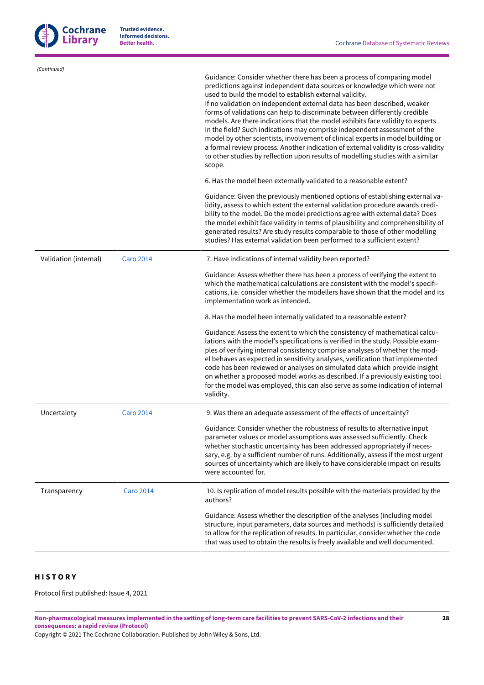

| (Continued)           |                  | Guidance: Consider whether there has been a process of comparing model<br>predictions against independent data sources or knowledge which were not<br>used to build the model to establish external validity.<br>If no validation on independent external data has been described, weaker<br>forms of validations can help to discriminate between differently credible<br>models. Are there indications that the model exhibits face validity to experts<br>in the field? Such indications may comprise independent assessment of the<br>model by other scientists, involvement of clinical experts in model building or<br>a formal review process. Another indication of external validity is cross-validity<br>to other studies by reflection upon results of modelling studies with a similar<br>scope.<br>6. Has the model been externally validated to a reasonable extent?<br>Guidance: Given the previously mentioned options of establishing external va-<br>lidity, assess to which extent the external validation procedure awards credi-<br>bility to the model. Do the model predictions agree with external data? Does<br>the model exhibit face validity in terms of plausibility and comprehensibility of<br>generated results? Are study results comparable to those of other modelling<br>studies? Has external validation been performed to a sufficient extent? |
|-----------------------|------------------|--------------------------------------------------------------------------------------------------------------------------------------------------------------------------------------------------------------------------------------------------------------------------------------------------------------------------------------------------------------------------------------------------------------------------------------------------------------------------------------------------------------------------------------------------------------------------------------------------------------------------------------------------------------------------------------------------------------------------------------------------------------------------------------------------------------------------------------------------------------------------------------------------------------------------------------------------------------------------------------------------------------------------------------------------------------------------------------------------------------------------------------------------------------------------------------------------------------------------------------------------------------------------------------------------------------------------------------------------------------------------------------|
| Validation (internal) | <b>Caro 2014</b> | 7. Have indications of internal validity been reported?                                                                                                                                                                                                                                                                                                                                                                                                                                                                                                                                                                                                                                                                                                                                                                                                                                                                                                                                                                                                                                                                                                                                                                                                                                                                                                                              |
|                       |                  | Guidance: Assess whether there has been a process of verifying the extent to<br>which the mathematical calculations are consistent with the model's specifi-<br>cations, i.e. consider whether the modellers have shown that the model and its<br>implementation work as intended.                                                                                                                                                                                                                                                                                                                                                                                                                                                                                                                                                                                                                                                                                                                                                                                                                                                                                                                                                                                                                                                                                                   |
|                       |                  | 8. Has the model been internally validated to a reasonable extent?                                                                                                                                                                                                                                                                                                                                                                                                                                                                                                                                                                                                                                                                                                                                                                                                                                                                                                                                                                                                                                                                                                                                                                                                                                                                                                                   |
|                       |                  | Guidance: Assess the extent to which the consistency of mathematical calcu-<br>lations with the model's specifications is verified in the study. Possible exam-<br>ples of verifying internal consistency comprise analyses of whether the mod-<br>el behaves as expected in sensitivity analyses, verification that implemented<br>code has been reviewed or analyses on simulated data which provide insight<br>on whether a proposed model works as described. If a previously existing tool<br>for the model was employed, this can also serve as some indication of internal<br>validity.                                                                                                                                                                                                                                                                                                                                                                                                                                                                                                                                                                                                                                                                                                                                                                                       |
| Uncertainty           | <b>Caro 2014</b> | 9. Was there an adequate assessment of the effects of uncertainty?                                                                                                                                                                                                                                                                                                                                                                                                                                                                                                                                                                                                                                                                                                                                                                                                                                                                                                                                                                                                                                                                                                                                                                                                                                                                                                                   |
|                       |                  | Guidance: Consider whether the robustness of results to alternative input<br>parameter values or model assumptions was assessed sufficiently. Check<br>whether stochastic uncertainty has been addressed appropriately if neces-<br>sary, e.g. by a sufficient number of runs. Additionally, assess if the most urgent<br>sources of uncertainty which are likely to have considerable impact on results<br>were accounted for.                                                                                                                                                                                                                                                                                                                                                                                                                                                                                                                                                                                                                                                                                                                                                                                                                                                                                                                                                      |
| Transparency          | <b>Caro 2014</b> | 10. Is replication of model results possible with the materials provided by the<br>authors?                                                                                                                                                                                                                                                                                                                                                                                                                                                                                                                                                                                                                                                                                                                                                                                                                                                                                                                                                                                                                                                                                                                                                                                                                                                                                          |
|                       |                  | Guidance: Assess whether the description of the analyses (including model<br>structure, input parameters, data sources and methods) is sufficiently detailed<br>to allow for the replication of results. In particular, consider whether the code<br>that was used to obtain the results is freely available and well documented.                                                                                                                                                                                                                                                                                                                                                                                                                                                                                                                                                                                                                                                                                                                                                                                                                                                                                                                                                                                                                                                    |

# <span id="page-29-0"></span>**H I S T O R Y**

Protocol first published: Issue 4, 2021

Non-pharmacological measures implemented in the setting of long-term care facilities to prevent SARS-CoV-2 infections and their **consequences: a rapid review (Protocol)**